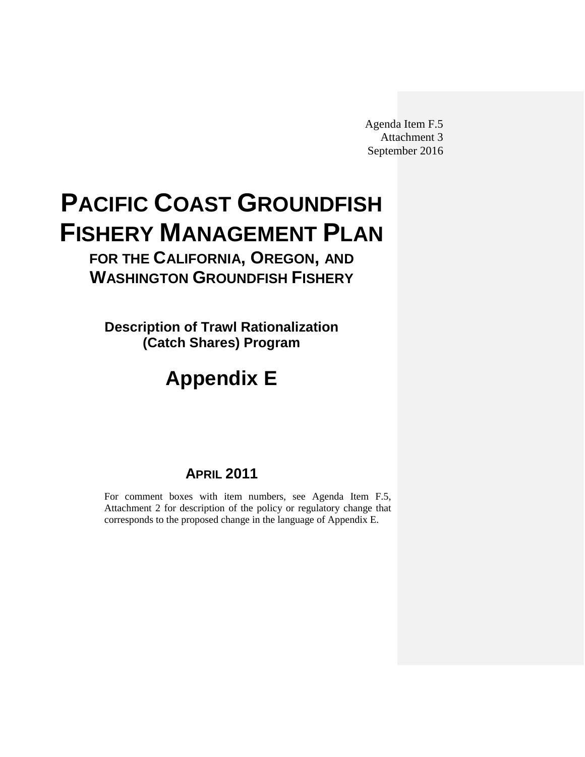Agenda Item F.5 Attachment 3 September 2016

# <span id="page-0-0"></span>**PACIFIC COAST GROUNDFISH FISHERY MANAGEMENT PLAN**

**FOR THE CALIFORNIA, OREGON, AND WASHINGTON GROUNDFISH FISHERY**

**Description of Trawl Rationalization (Catch Shares) Program**

# **Appendix E**

# **APRIL 2011**

For comment boxes with item numbers, see Agenda Item F.5, Attachment 2 for description of the policy or regulatory change that corresponds to the proposed change in the language of Appendix E.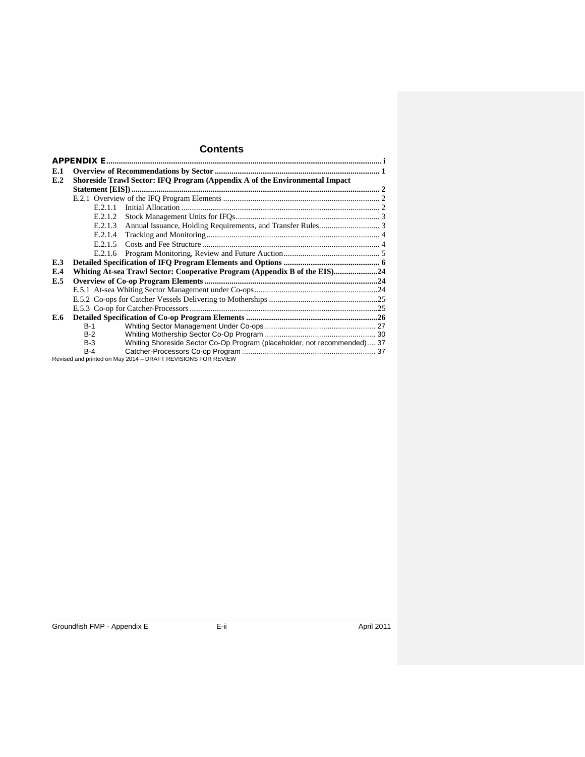# **Contents**

| E.1 |            |                                                                             |  |
|-----|------------|-----------------------------------------------------------------------------|--|
| E.2 |            | Shoreside Trawl Sector: IFQ Program (Appendix A of the Environmental Impact |  |
|     |            |                                                                             |  |
|     |            |                                                                             |  |
|     | E.2.1.1    |                                                                             |  |
|     | E.2.1.2    |                                                                             |  |
|     | E.2.1.3    |                                                                             |  |
|     | E.2.1.4    |                                                                             |  |
|     | E.2.1.5    |                                                                             |  |
|     | E.2.1.6    |                                                                             |  |
| E.3 |            |                                                                             |  |
| E.4 |            | Whiting At-sea Trawl Sector: Cooperative Program (Appendix B of the EIS)24  |  |
| E.5 |            |                                                                             |  |
|     |            |                                                                             |  |
|     |            |                                                                             |  |
|     |            |                                                                             |  |
| E.6 |            |                                                                             |  |
|     | <b>B-1</b> |                                                                             |  |
|     | $B-2$      |                                                                             |  |
|     | $B-3$      | Whiting Shoreside Sector Co-Op Program (placeholder, not recommended) 37    |  |
|     | $B-4$      |                                                                             |  |
|     |            | Revised and printed on May 2014 - DRAFT REVISIONS FOR REVIEW                |  |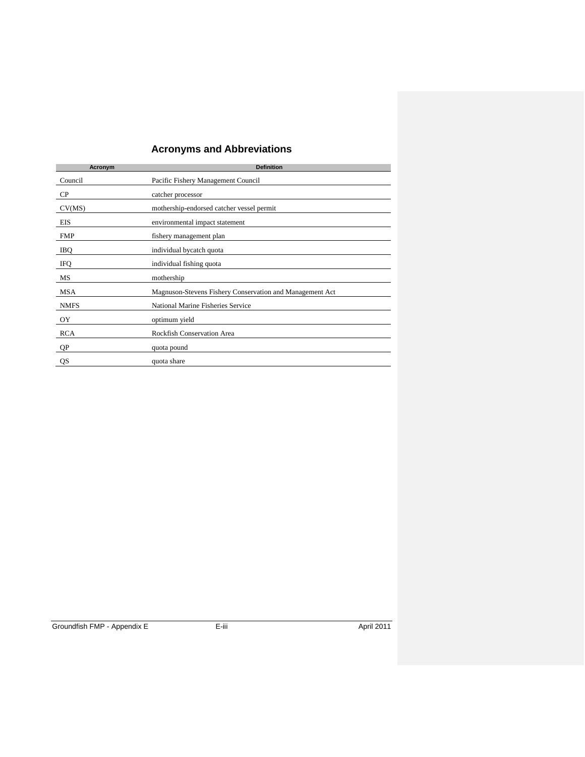# **Acronyms and Abbreviations**

| Acronym     | <b>Definition</b>                                        |
|-------------|----------------------------------------------------------|
| Council     | Pacific Fishery Management Council                       |
| $\rm CP$    | catcher processor                                        |
| CV(MS)      | mothership-endorsed catcher vessel permit                |
| EIS         | environmental impact statement                           |
| <b>FMP</b>  | fishery management plan                                  |
| IBQ         | individual bycatch quota                                 |
| <b>IFO</b>  | individual fishing quota                                 |
| MS          | mothership                                               |
| <b>MSA</b>  | Magnuson-Stevens Fishery Conservation and Management Act |
| <b>NMFS</b> | National Marine Fisheries Service                        |
| OY          | optimum yield                                            |
| <b>RCA</b>  | Rockfish Conservation Area                               |
| QP          | quota pound                                              |
| QS          | quota share                                              |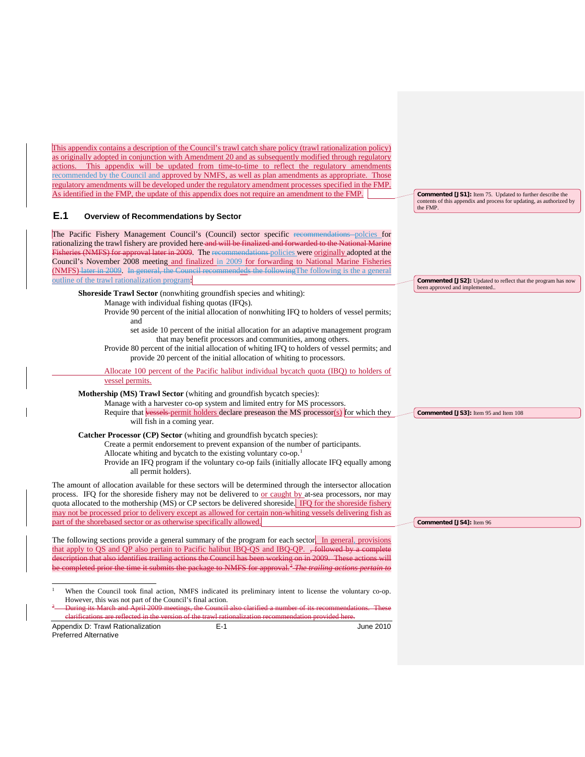<span id="page-3-2"></span><span id="page-3-1"></span><span id="page-3-0"></span>

| This appendix contains a description of the Council's trawl catch share policy (trawl rationalization policy)<br>as originally adopted in conjunction with Amendment 20 and as subsequently modified through regulatory<br>actions. This appendix will be updated from time-to-time to reflect the regulatory amendments<br>recommended by the Council and approved by NMFS, as well as plan amendments as appropriate. Those<br>regulatory amendments will be developed under the regulatory amendment processes specified in the FMP.<br>As identified in the FMP, the update of this appendix does not require an amendment to the FMP.<br>E.1<br><b>Overview of Recommendations by Sector</b><br>The Pacific Fishery Management Council's (Council) sector specific recommendations polcies for | <b>Commented [JS1]:</b> Item 75. Updated to further describe the<br>contents of this appendix and process for updating, as authorized by<br>the FMP. |
|-----------------------------------------------------------------------------------------------------------------------------------------------------------------------------------------------------------------------------------------------------------------------------------------------------------------------------------------------------------------------------------------------------------------------------------------------------------------------------------------------------------------------------------------------------------------------------------------------------------------------------------------------------------------------------------------------------------------------------------------------------------------------------------------------------|------------------------------------------------------------------------------------------------------------------------------------------------------|
| rationalizing the trawl fishery are provided here and will be finalized and forwarded to the National Marine<br>Fisheries (NMFS) for approval later in 2009. The recommendations policies were originally adopted at the<br>Council's November 2008 meeting and finalized in 2009 for forwarding to National Marine Fisheries<br>(NMFS) later in 2009. In general, the Council recommendeds the following The following is the a general<br>outline of the trawl rationalization program:                                                                                                                                                                                                                                                                                                           | <b>Commented [JS2]:</b> Updated to reflect that the program has now<br>been approved and implemented                                                 |
| Shoreside Trawl Sector (nonwhiting groundfish species and whiting):<br>Manage with individual fishing quotas (IFQs).<br>Provide 90 percent of the initial allocation of nonwhiting IFQ to holders of vessel permits;<br>and<br>set aside 10 percent of the initial allocation for an adaptive management program<br>that may benefit processors and communities, among others.<br>Provide 80 percent of the initial allocation of whiting IFQ to holders of vessel permits; and<br>provide 20 percent of the initial allocation of whiting to processors.                                                                                                                                                                                                                                           |                                                                                                                                                      |
| Allocate 100 percent of the Pacific halibut individual bycatch quota (IBQ) to holders of<br>vessel permits.                                                                                                                                                                                                                                                                                                                                                                                                                                                                                                                                                                                                                                                                                         |                                                                                                                                                      |
| Mothership (MS) Trawl Sector (whiting and groundfish bycatch species):<br>Manage with a harvester co-op system and limited entry for MS processors.<br>Require that vessels permit holders declare preseason the MS processor(s) for which they<br>will fish in a coming year.                                                                                                                                                                                                                                                                                                                                                                                                                                                                                                                      | Commented [JS3]: Item 95 and Item 108                                                                                                                |
| Catcher Processor (CP) Sector (whiting and groundfish bycatch species):<br>Create a permit endorsement to prevent expansion of the number of participants.<br>Allocate whiting and bycatch to the existing voluntary co-op. <sup>1</sup><br>Provide an IFQ program if the voluntary co-op fails (initially allocate IFQ equally among<br>all permit holders).                                                                                                                                                                                                                                                                                                                                                                                                                                       |                                                                                                                                                      |
| The amount of allocation available for these sectors will be determined through the intersector allocation<br>process. IFQ for the shoreside fishery may not be delivered to <u>or caught by</u> at-sea processors, nor may<br>quota allocated to the mothership (MS) or CP sectors be delivered shoreside. IFQ for the shoreside fishery<br>may not be processed prior to delivery except as allowed for certain non-whiting vessels delivering fish as<br>part of the shorebased sector or as otherwise specifically allowed.                                                                                                                                                                                                                                                                     | Commented [JS4]: Item 96                                                                                                                             |
| The following sections provide a general summary of the program for each sector. In general, provisions<br>that apply to OS and OP also pertain to Pacific halibut IBO-OS and IBO-OP. <del>Followed by a complete</del><br>description that also identifies trailing actions the Council has been working on in 2009. These actions will<br>be completed prior the time it submits the package to NMFS for approval. <sup>2</sup> The trailing actions pertain to                                                                                                                                                                                                                                                                                                                                   |                                                                                                                                                      |
| $\mathbf{1}$<br>When the Council took final action, NMFS indicated its preliminary intent to license the voluntary co-op.<br>However, this was not part of the Council's final action.<br>$\frac{2}{3}$ During its March and April 2009 meetings, the Council also clarified a number of its recommendations. These<br>elarifications are reflected in the version of the trawl rationalization recommendation provided here.                                                                                                                                                                                                                                                                                                                                                                       |                                                                                                                                                      |
| $E-1$<br>Appendix D: Trawl Rationalization<br>June 2010<br><b>Preferred Alternative</b>                                                                                                                                                                                                                                                                                                                                                                                                                                                                                                                                                                                                                                                                                                             |                                                                                                                                                      |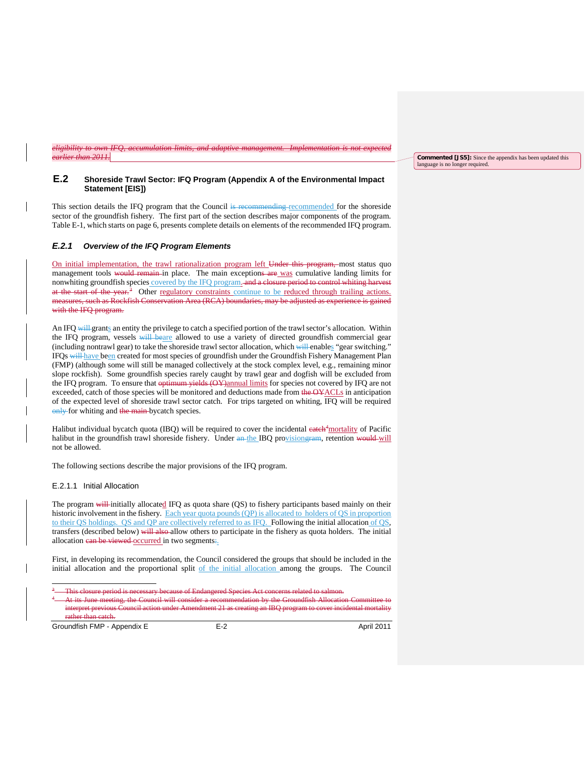*eligibility to own IFQ, accumulation limits, and adaptive management. Implementation is not expected earlier than 2011.*

#### <span id="page-4-0"></span>**E.2 Shoreside Trawl Sector: IFQ Program (Appendix A of the Environmental Impact Statement [EIS])**

This section details the IFQ program that the Council is recommending recommended for the shoreside sector of the groundfish fishery. The first part of the section describes major components of the program. [Table E-1,](#page-8-1) which starts on page [6,](#page-8-1) presents complete details on elements of the recommended IFQ program.

## <span id="page-4-1"></span>*E.2.1 Overview of the IFQ Program Elements*

On initial implementation, the trawl rationalization program left Under this program, most status quo management tools would remain in place. The main exceptions are was cumulative landing limits for nonwhiting groundfish species covered by the IFQ program. and a closure period to control whiting harvest at the start of the year.<sup>[3](#page-4-3)</sup> Other regulatory constraints continue to be reduced through trailing actions. measures, such as Rockfish Conservation Area (RCA) boundaries, may be adjusted as experience is gained with the IFQ program.

An IFQ will grants an entity the privilege to catch a specified portion of the trawl sector's allocation. Within the IFQ program, vessels will beare allowed to use a variety of directed groundfish commercial gear (including nontrawl gear) to take the shoreside trawl sector allocation, which will enables "gear switching." IFQs will have been created for most species of groundfish under the Groundfish Fishery Management Plan (FMP) (although some will still be managed collectively at the stock complex level, e.g., remaining minor slope rockfish). Some groundfish species rarely caught by trawl gear and dogfish will be excluded from the IFQ program. To ensure that optimum yields (OY)annual limits for species not covered by IFQ are not exceeded, catch of those species will be monitored and deductions made from the OYACLs in anticipation of the expected level of shoreside trawl sector catch. For trips targeted on whiting, IFQ will be required only for whiting and the main-bycatch species.

Halibut individual bycatch quota (IBQ) will be required to cover the incidental eateh<sup>[4](#page-4-4)</sup> mortality of Pacific halibut in the groundfish trawl shoreside fishery. Under an the IBQ provisiongram, retention would will not be allowed.

The following sections describe the major provisions of the IFQ program.

#### <span id="page-4-2"></span>E.2.1.1 Initial Allocation

The program will initially allocated IFQ as quota share (QS) to fishery participants based mainly on their historic involvement in the fishery. Each year quota pounds (QP) is allocated to holders of QS in proportion to their QS holdings. QS and QP are collectively referred to as IFQ. Following the initial allocation of QS, transfers (described below) will also allow others to participate in the fishery as quota holders. The initial allocation can be viewed occurred in two segments:

First, in developing its recommendation, the Council considered the groups that should be included in the initial allocation and the proportional split of the initial allocation among the groups. The Council

<span id="page-4-4"></span><span id="page-4-3"></span>Groundfish FMP - Appendix E E-2 E-2 April 2011

**Commented [JS5]:** Since the appendix has been updated this language is no longer required.

<sup>&</sup>lt;sup>3</sup> This closure period is necessary because of Endangered Species Act concerns related to salmon.

At its June meeting, the Council will consider a recommendation by the Groundfish Allocation ret previous Council action under Amendment 21 as creating an IBQ program to cover incidental mortality rather than catch.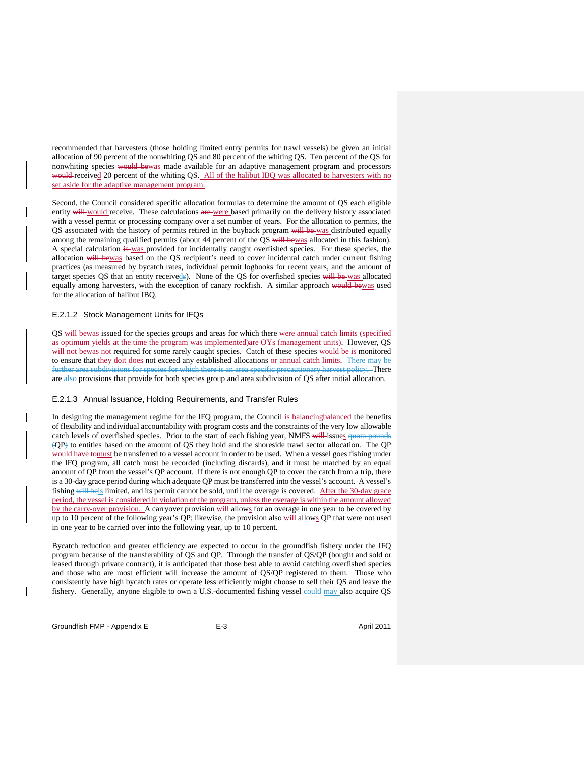recommended that harvesters (those holding limited entry permits for trawl vessels) be given an initial allocation of 90 percent of the nonwhiting QS and 80 percent of the whiting QS. Ten percent of the QS for nonwhiting species would bewas made available for an adaptive management program and processors would-received 20 percent of the whiting QS. All of the halibut IBQ was allocated to harvesters with no set aside for the adaptive management program.

Second, the Council considered specific allocation formulas to determine the amount of QS each eligible entity will would receive. These calculations are were based primarily on the delivery history associated with a vessel permit or processing company over a set number of years. For the allocation to permits, the QS associated with the history of permits retired in the buyback program will be was distributed equally among the remaining qualified permits (about 44 percent of the QS will bewas allocated in this fashion). A special calculation is was provided for incidentally caught overfished species. For these species, the allocation will bewas based on the QS recipient's need to cover incidental catch under current fishing practices (as measured by bycatch rates, individual permit logbooks for recent years, and the amount of target species QS that an entity receiveds). None of the QS for overfished species will be was allocated equally among harvesters, with the exception of canary rockfish. A similar approach would bewas used for the allocation of halibut IBQ.

#### <span id="page-5-0"></span>E.2.1.2 Stock Management Units for IFQs

QS will bewas issued for the species groups and areas for which there were annual catch limits (specified as optimum yields at the time the program was implemented)are OYs (management units). However, QS will not bewas not required for some rarely caught species. Catch of these species would be is monitored to ensure that they doit does not exceed any established allocations or annual catch limits. There may be further area subdivisions for species for which there is an area specific precautionary harvest policy. There are also provisions that provide for both species group and area subdivision of QS after initial allocation.

#### <span id="page-5-1"></span>E.2.1.3 Annual Issuance, Holding Requirements, and Transfer Rules

In designing the management regime for the IFQ program, the Council is balancing balanced the benefits of flexibility and individual accountability with program costs and the constraints of the very low allowable catch levels of overfished species. Prior to the start of each fishing year, NMFS will issues quota pounds (QP) to entities based on the amount of QS they hold and the shoreside trawl sector allocation. The QP would have tomust be transferred to a vessel account in order to be used. When a vessel goes fishing under the IFQ program, all catch must be recorded (including discards), and it must be matched by an equal amount of QP from the vessel's QP account. If there is not enough QP to cover the catch from a trip, there is a 30-day grace period during which adequate QP must be transferred into the vessel's account. A vessel's fishing will beis limited, and its permit cannot be sold, until the overage is covered. After the 30-day grace period, the vessel is considered in violation of the program, unless the overage is within the amount allowed by the carry-over provision. A carryover provision will allows for an overage in one year to be covered by up to 10 percent of the following year's QP; likewise, the provision also will allows QP that were not used in one year to be carried over into the following year, up to 10 percent.

Bycatch reduction and greater efficiency are expected to occur in the groundfish fishery under the IFQ program because of the transferability of QS and QP. Through the transfer of QS/QP (bought and sold or leased through private contract), it is anticipated that those best able to avoid catching overfished species and those who are most efficient will increase the amount of QS/QP registered to them. Those who consistently have high bycatch rates or operate less efficiently might choose to sell their QS and leave the fishery. Generally, anyone eligible to own a U.S.-documented fishing vessel eould may also acquire QS

Groundfish FMP - Appendix E E-3 E-3 April 2011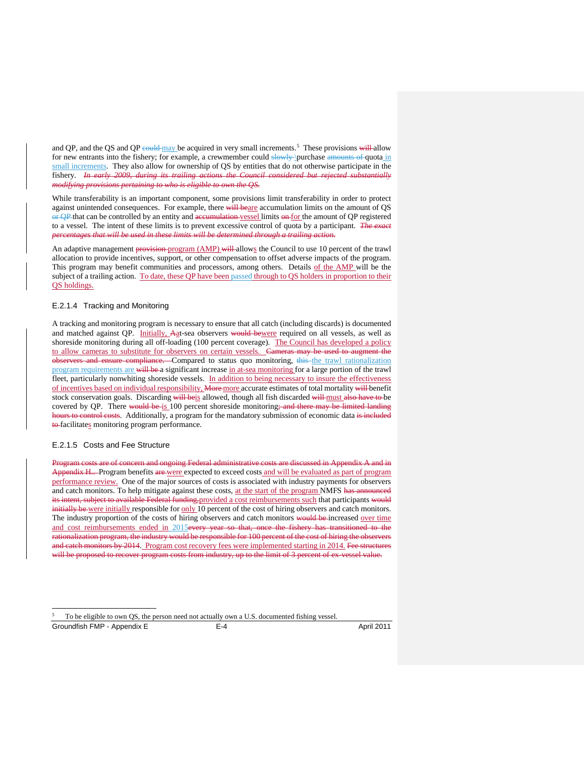and QP, and the QS and QP could may be acquired in very small increments.<sup>[5](#page-6-2)</sup> These provisions will allow for new entrants into the fishery; for example, a crewmember could slowly \purchase amounts of quota in small increments. They also allow for ownership of QS by entities that do not otherwise participate in the fishery. *In early 2009, during its trailing actions the Council considered but rejected substantially modifying provisions pertaining to who is eligible to own the QS.*

While transferability is an important component, some provisions limit transferability in order to protect against unintended consequences. For example, there will beare accumulation limits on the amount of QS or QP that can be controlled by an entity and accumulation vessel limits on for the amount of QP registered to a vessel. The intent of these limits is to prevent excessive control of quota by a participant. *The exact percentages that will be used in these limits will be determined through a trailing action.*

An adaptive management provision program (AMP) will allows the Council to use 10 percent of the trawl allocation to provide incentives, support, or other compensation to offset adverse impacts of the program. This program may benefit communities and processors, among others. Details of the AMP will be the subject of a trailing action. To date, these QP have been passed through to QS holders in proportion to their QS holdings.

#### <span id="page-6-0"></span>E.2.1.4 Tracking and Monitoring

A tracking and monitoring program is necessary to ensure that all catch (including discards) is documented and matched against OP. Initially, Aat-sea observers would bewere required on all vessels, as well as shoreside monitoring during all off-loading (100 percent coverage). The Council has developed a policy to allow cameras to substitute for observers on certain vessels. Cameras may be used to augment the observers and ensure compliance. Compared to status quo monitoring, this the trawl rationalization program requirements are will be a significant increase in at-sea monitoring for a large portion of the trawl fleet, particularly nonwhiting shoreside vessels. In addition to being necessary to insure the effectiveness of incentives based on individual responsibility, More more accurate estimates of total mortality will benefit stock conservation goals. Discarding will beis allowed, though all fish discarded will must also have to be covered by QP. There would be is 100 percent shoreside monitoring; and there may be limited landing rs to control costs. Additionally, a program for the mandatory submission of economic data is included to facilitates monitoring program performance.

#### <span id="page-6-1"></span>E.2.1.5 Costs and Fee Structure

Program costs are of concern and ongoing Federal administrative costs are discussed in Appendix A and in Appendix H.. Program benefits are were expected to exceed costs and will be evaluated as part of program performance review. One of the major sources of costs is associated with industry payments for observers and catch monitors. To help mitigate against these costs, at the start of the program NMFS has announced its intent, subject to available Federal funding, provided a cost reimbursements such that participants would initially be were initially responsible for only 10 percent of the cost of hiring observers and catch monitors. The industry proportion of the costs of hiring observers and catch monitors would be increased over time and cost reimbursements ended in 2015<del>every year so that, once the fishery has transitioned to the</del> rationalization program, the industry would be responsible for 100 percent of the cost of hiring the observers and catch monitors by 2014. Program cost recovery fees were implemented starting in 2014. Fee structures will be proposed to recover program costs from industry, up to the limit of 3 percent of ex-vessel value.

<span id="page-6-2"></span>Groundfish FMP - Appendix E and E-4 April 2011

 <sup>5</sup> To be eligible to own QS, the person need not actually own a U.S. documented fishing vessel.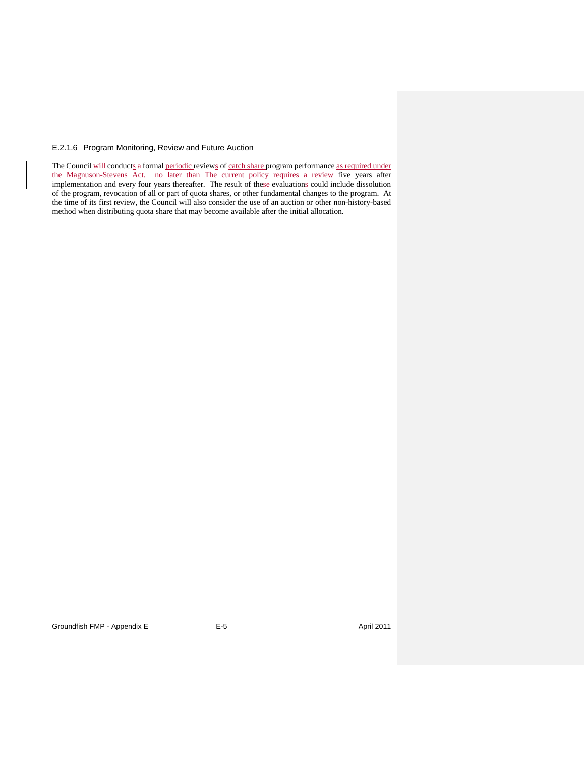# <span id="page-7-0"></span>E.2.1.6 Program Monitoring, Review and Future Auction

The Council will conducts a formal periodic reviews of catch share program performance as required under the Magnuson-Stevens Act. no later than The current policy requires a review five years after implementation and every four years thereafter. The result of these evaluations could include dissolution of the program, revocation of all or part of quota shares, or other fundamental changes to the program. At the time of its first review, the Council will also consider the use of an auction or other non-history-based method when distributing quota share that may become available after the initial allocation.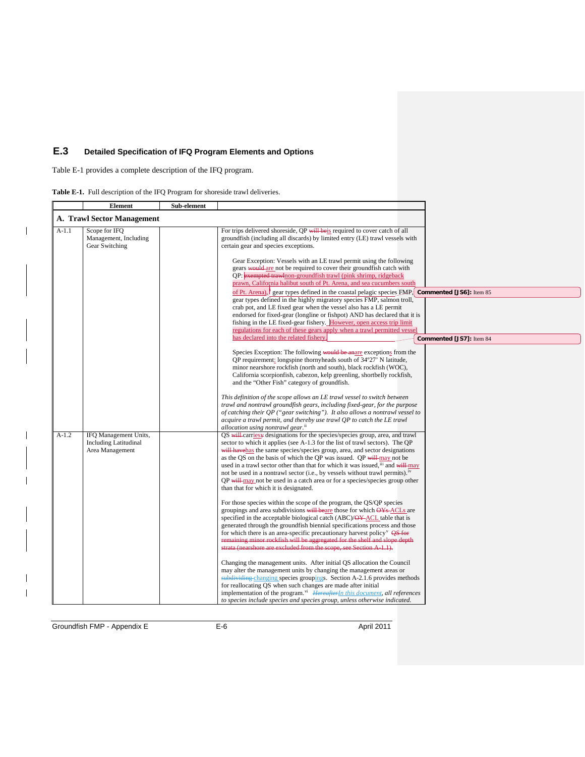# <span id="page-8-0"></span>**E.3 Detailed Specification of IFQ Program Elements and Options**

[Table E-1](#page-8-1) provides a complete description of the IFQ program.

 $\mathbf{l}$ 

 $\overline{\phantom{a}}$ 

 $\begin{array}{c} \rule{0pt}{2ex} \rule{0pt}{2ex} \rule{0pt}{2ex} \rule{0pt}{2ex} \rule{0pt}{2ex} \rule{0pt}{2ex} \rule{0pt}{2ex} \rule{0pt}{2ex} \rule{0pt}{2ex} \rule{0pt}{2ex} \rule{0pt}{2ex} \rule{0pt}{2ex} \rule{0pt}{2ex} \rule{0pt}{2ex} \rule{0pt}{2ex} \rule{0pt}{2ex} \rule{0pt}{2ex} \rule{0pt}{2ex} \rule{0pt}{2ex} \rule{0pt}{2ex} \rule{0pt}{2ex} \rule{0pt}{2ex} \rule{0pt}{2ex} \rule{0pt}{$  $\overline{\phantom{a}}$ 

<span id="page-8-1"></span>

|  | Table E-1. Full description of the IFQ Program for shoreside trawl deliveries. |  |  |  |  |
|--|--------------------------------------------------------------------------------|--|--|--|--|
|--|--------------------------------------------------------------------------------|--|--|--|--|

|         | <b>Element</b>                                                           | Sub-element |                                                                                                                                                                                                                                                                                                                                                                                                                                                                                                                                                                                                                                                                                                                                                                                                                                                                                                                                                                                                                                    |                          |
|---------|--------------------------------------------------------------------------|-------------|------------------------------------------------------------------------------------------------------------------------------------------------------------------------------------------------------------------------------------------------------------------------------------------------------------------------------------------------------------------------------------------------------------------------------------------------------------------------------------------------------------------------------------------------------------------------------------------------------------------------------------------------------------------------------------------------------------------------------------------------------------------------------------------------------------------------------------------------------------------------------------------------------------------------------------------------------------------------------------------------------------------------------------|--------------------------|
|         | <b>A. Trawl Sector Management</b>                                        |             |                                                                                                                                                                                                                                                                                                                                                                                                                                                                                                                                                                                                                                                                                                                                                                                                                                                                                                                                                                                                                                    |                          |
| $A-1.1$ | Scope for IFO<br>Management, Including<br>Gear Switching                 |             | For trips delivered shoreside, QP will be is required to cover catch of all<br>groundfish (including all discards) by limited entry (LE) trawl vessels with<br>certain gear and species exceptions.<br>Gear Exception: Vessels with an LE trawl permit using the following<br>gears would are not be required to cover their groundfish catch with<br>QP: exempted trawlnon-groundfish trawl (pink shrimp, ridgeback<br>prawn, California halibut south of Pt. Arena, and sea cucumbers south<br>of Pt. Arena), gear types defined in the coastal pelagic species $EMP$ ; <b>Commented [JS6]</b> : Item 85<br>gear types defined in the highly migratory species FMP, salmon troll,<br>crab pot, and LE fixed gear when the vessel also has a LE permit<br>endorsed for fixed-gear (longline or fishpot) AND has declared that it is<br>fishing in the LE fixed-gear fishery. However, open access trip limit<br>regulations for each of these gears apply when a trawl permitted vessel<br>has declared into the related fishery. | Commented [JS7]: Item 84 |
|         |                                                                          |             |                                                                                                                                                                                                                                                                                                                                                                                                                                                                                                                                                                                                                                                                                                                                                                                                                                                                                                                                                                                                                                    |                          |
|         |                                                                          |             | Species Exception: The following would be anare exceptions from the<br>QP requirement: longspine thornyheads south of 34°27' N latitude,<br>minor nearshore rockfish (north and south), black rockfish (WOC),<br>California scorpionfish, cabezon, kelp greenling, shortbelly rockfish,<br>and the "Other Fish" category of groundfish.                                                                                                                                                                                                                                                                                                                                                                                                                                                                                                                                                                                                                                                                                            |                          |
|         |                                                                          |             | This definition of the scope allows an LE trawl vessel to switch between<br>trawl and nontrawl groundfish gears, including fixed-gear, for the purpose<br>of catching their QP ("gear switching"). It also allows a nontrawl vessel to<br>acquire a trawl permit, and thereby use trawl QP to catch the LE trawl<br>allocation using nontrawl gear. <sup>ii</sup>                                                                                                                                                                                                                                                                                                                                                                                                                                                                                                                                                                                                                                                                  |                          |
| $A-1.2$ | IFQ Management Units,<br><b>Including Latitudinal</b><br>Area Management |             | QS will carries y designations for the species/species group, area, and trawl<br>sector to which it applies (see A-1.3 for the list of trawl sectors). The QP<br>will havehas the same species/species group, area, and sector designations<br>as the QS on the basis of which the QP was issued. QP will may not be<br>used in a trawl sector other than that for which it was issued, in and will may<br>not be used in a nontrawl sector (i.e., by vessels without trawl permits). <sup>iv</sup><br>QP will may not be used in a catch area or for a species/species group other<br>than that for which it is designated.                                                                                                                                                                                                                                                                                                                                                                                                       |                          |
|         |                                                                          |             | For those species within the scope of the program, the QS/QP species<br>groupings and area subdivisions will beare those for which OYs-ACLs are<br>specified in the acceptable biological catch (ABC)/OY-ACL table that is<br>generated through the groundfish biennial specifications process and those<br>for which there is an area-specific precautionary harvest policy <sup><math>\vee</math></sup> $\overrightarrow{\mathbf{QS}}$ for<br>remaining minor rockfish will be aggregated for the shelf and slope depth<br>strata (nearshore are excluded from the scope, see Section A-1.1).                                                                                                                                                                                                                                                                                                                                                                                                                                    |                          |
|         |                                                                          |             | Changing the management units. After initial QS allocation the Council<br>may alter the management units by changing the management areas or<br>subdividing changing species groupings. Section A-2.1.6 provides methods<br>for reallocating QS when such changes are made after initial<br>implementation of the program. <sup>vi</sup> HereafterIn this document, all references<br>to species include species and species group, unless otherwise indicated.                                                                                                                                                                                                                                                                                                                                                                                                                                                                                                                                                                    |                          |

Groundfish FMP - Appendix E E-6 April 2011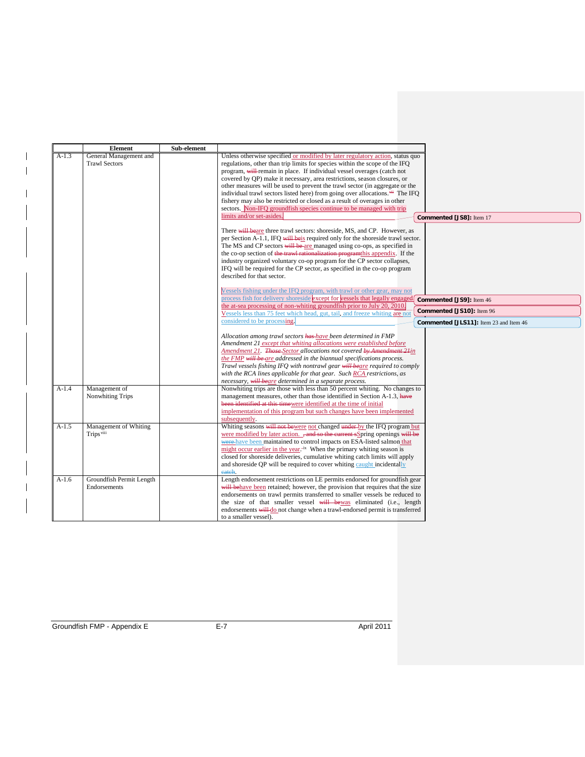|         | <b>Element</b>           | Sub-element                                                                                             |                                        |
|---------|--------------------------|---------------------------------------------------------------------------------------------------------|----------------------------------------|
| $A-1.3$ | General Management and   | Unless otherwise specified or modified by later regulatory action, status quo                           |                                        |
|         | <b>Trawl Sectors</b>     | regulations, other than trip limits for species within the scope of the IFQ                             |                                        |
|         |                          | program, will remain in place. If individual vessel overages (catch not                                 |                                        |
|         |                          | covered by QP) make it necessary, area restrictions, season closures, or                                |                                        |
|         |                          | other measures will be used to prevent the trawl sector (in aggregate or the                            |                                        |
|         |                          | individual trawl sectors listed here) from going over allocations. <sup>***</sup> The IFO               |                                        |
|         |                          | fishery may also be restricted or closed as a result of overages in other                               |                                        |
|         |                          | sectors. Non-IFO groundfish species continue to be managed with trip                                    |                                        |
|         |                          | limits and/or set-asides.                                                                               |                                        |
|         |                          | Commented [JS8]: Item 17                                                                                |                                        |
|         |                          | There will beare three trawl sectors: shoreside, MS, and CP. However, as                                |                                        |
|         |                          | per Section A-1.1, IFO will be is required only for the shoreside trawl sector.                         |                                        |
|         |                          | The MS and CP sectors will be are managed using co-ops, as specified in                                 |                                        |
|         |                          | the co-op section of the trawl rationalization program this appendix. If the                            |                                        |
|         |                          | industry organized voluntary co-op program for the CP sector collapses,                                 |                                        |
|         |                          | IFO will be required for the CP sector, as specified in the co-op program                               |                                        |
|         |                          | described for that sector.                                                                              |                                        |
|         |                          |                                                                                                         |                                        |
|         |                          | Vessels fishing under the IFO program, with trawl or other gear, may not                                |                                        |
|         |                          |                                                                                                         |                                        |
|         |                          | process fish for delivery shoreside except for vessels that legally engaged<br>Commented [JS9]: Item 46 |                                        |
|         |                          | the at-sea processing of non-whiting groundfish prior to July 20, 2010.                                 | Commented [JS10]: Item 96              |
|         |                          | Vessels less than 75 feet which head, gut, tail, and freeze whiting are not                             |                                        |
|         |                          | considered to be processing.                                                                            | Commented [JLS11]: Item 23 and Item 46 |
|         |                          |                                                                                                         |                                        |
|         |                          | Allocation among trawl sectors has have been determined in FMP                                          |                                        |
|         |                          | Amendment 21 except that whiting allocations were established before                                    |                                        |
|         |                          | Amendment 21. Those-Sector allocations not covered by Amendment 21in                                    |                                        |
|         |                          | the FMP will be are addressed in the biannual specifications process.                                   |                                        |
|         |                          | Trawl vessels fishing IFO with nontrawl gear will beare required to comply                              |                                        |
|         |                          | with the RCA lines applicable for that gear. Such RCA restrictions, as                                  |                                        |
|         |                          | necessary, will beare determined in a separate process.                                                 |                                        |
| $A-1.4$ | Management of            | Nonwhiting trips are those with less than 50 percent whiting. No changes to                             |                                        |
|         | Nonwhiting Trips         | management measures, other than those identified in Section A-1.3, have                                 |                                        |
|         |                          | been identified at this timewere identified at the time of initial                                      |                                        |
|         |                          | implementation of this program but such changes have been implemented                                   |                                        |
|         |                          | subsequently.                                                                                           |                                        |
| $A-1.5$ | Management of Whiting    | Whiting seasons will not be were not changed under by the IFQ program but                               |                                        |
|         | Trips <sup>viii</sup>    | were modified by later action. , and so the current sSpring openings will be                            |                                        |
|         |                          | were have been maintained to control impacts on ESA-listed salmon that                                  |                                        |
|         |                          | might occur earlier in the year. $\frac{1}{x}$ When the primary whiting season is                       |                                        |
|         |                          | closed for shoreside deliveries, cumulative whiting catch limits will apply                             |                                        |
|         |                          | and shoreside OP will be required to cover whiting caught incidentally                                  |                                        |
|         |                          | catch.                                                                                                  |                                        |
| $A-1.6$ | Groundfish Permit Length | Length endorsement restrictions on LE permits endorsed for groundfish gear                              |                                        |
|         | Endorsements             | will behave been retained; however, the provision that requires that the size                           |                                        |
|         |                          | endorsements on trawl permits transferred to smaller vessels be reduced to                              |                                        |
|         |                          |                                                                                                         |                                        |
|         |                          | the size of that smaller vessel will be was eliminated (i.e., length                                    |                                        |
|         |                          | endorsements will do not change when a trawl-endorsed permit is transferred                             |                                        |
|         |                          | to a smaller vessel).                                                                                   |                                        |

 $\overline{\phantom{a}}$  $\overline{\phantom{a}}$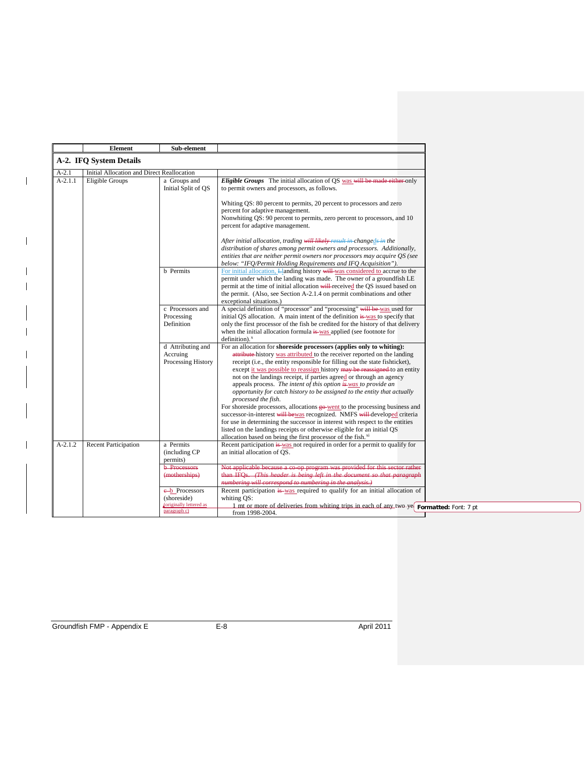|           | <b>Element</b>                             | Sub-element                                                    |                                                                                                                                                                                                                                                                                                                                                                                                                                                                                                                                                                                                                                                                                                                                                                                                                                                                                                                                                                   |
|-----------|--------------------------------------------|----------------------------------------------------------------|-------------------------------------------------------------------------------------------------------------------------------------------------------------------------------------------------------------------------------------------------------------------------------------------------------------------------------------------------------------------------------------------------------------------------------------------------------------------------------------------------------------------------------------------------------------------------------------------------------------------------------------------------------------------------------------------------------------------------------------------------------------------------------------------------------------------------------------------------------------------------------------------------------------------------------------------------------------------|
|           | A-2. IFQ System Details                    |                                                                |                                                                                                                                                                                                                                                                                                                                                                                                                                                                                                                                                                                                                                                                                                                                                                                                                                                                                                                                                                   |
| $A-2.1$   | Initial Allocation and Direct Reallocation |                                                                |                                                                                                                                                                                                                                                                                                                                                                                                                                                                                                                                                                                                                                                                                                                                                                                                                                                                                                                                                                   |
| $A-2.1.1$ | Eligible Groups                            | a Groups and<br>Initial Split of QS                            | Eligible Groups The initial allocation of QS was will be made either only<br>to permit owners and processors, as follows.                                                                                                                                                                                                                                                                                                                                                                                                                                                                                                                                                                                                                                                                                                                                                                                                                                         |
|           |                                            |                                                                | Whiting QS: 80 percent to permits, 20 percent to processors and zero<br>percent for adaptive management.<br>Nonwhiting QS: 90 percent to permits, zero percent to processors, and 10<br>percent for adaptive management.                                                                                                                                                                                                                                                                                                                                                                                                                                                                                                                                                                                                                                                                                                                                          |
|           |                                            |                                                                | After initial allocation, trading will likely result in changeds in the<br>distribution of shares among permit owners and processors. Additionally,<br>entities that are neither permit owners nor processors may acquire QS (see<br>below: "IFQ/Permit Holding Requirements and IFQ Acquisition").                                                                                                                                                                                                                                                                                                                                                                                                                                                                                                                                                                                                                                                               |
|           |                                            | <b>b</b> Permits                                               | For initial allocation, Llanding history will was considered to accrue to the<br>permit under which the landing was made. The owner of a groundfish LE<br>permit at the time of initial allocation will received the QS issued based on<br>the permit. (Also, see Section A-2.1.4 on permit combinations and other<br>exceptional situations.)                                                                                                                                                                                                                                                                                                                                                                                                                                                                                                                                                                                                                    |
|           |                                            | c Processors and<br>Processing<br>Definition                   | A special definition of "processor" and "processing" will be was used for<br>initial OS allocation. A main intent of the definition is was to specify that<br>only the first processor of the fish be credited for the history of that delivery<br>when the initial allocation formula is was applied (see footnote for<br>$definition).$ <sup>x</sup>                                                                                                                                                                                                                                                                                                                                                                                                                                                                                                                                                                                                            |
|           |                                            | d Attributing and<br>Accruing<br>Processing History            | For an allocation for shoreside processors (applies only to whiting):<br>attribute-history was attributed to the receiver reported on the landing<br>receipt (i.e., the entity responsible for filling out the state fishticket),<br>except it was possible to reassign history may be reassigned to an entity<br>not on the landings receipt, if parties agreed or through an agency<br>appeals process. The intent of this option is was to provide an<br>opportunity for catch history to be assigned to the entity that actually<br>processed the fish.<br>For shoreside processors, allocations go-went to the processing business and<br>successor-in-interest will be was recognized. NMFS will developed criteria<br>for use in determining the successor in interest with respect to the entities<br>listed on the landings receipts or otherwise eligible for an initial QS<br>allocation based on being the first processor of the fish. <sup>xi</sup> |
| $A-2.1.2$ | <b>Recent Participation</b>                | a Permits<br>(including CP)<br>permits)<br><b>b</b> Processors | Recent participation is was not required in order for a permit to qualify for<br>an initial allocation of OS.<br>Not applicable because a co-op program was provided for this sector rather                                                                                                                                                                                                                                                                                                                                                                                                                                                                                                                                                                                                                                                                                                                                                                       |
|           |                                            | (motherships)<br>e-b Processors                                | than IFQs. (This header is being left in the document so that paragraph<br>numbering will correspond to numbering in the analysis.)<br>Recent participation is was required to qualify for an initial allocation of                                                                                                                                                                                                                                                                                                                                                                                                                                                                                                                                                                                                                                                                                                                                               |
|           |                                            | (shoreside)<br>(originally lettered as<br>paragraph c)         | whiting OS:<br>1 mt or more of deliveries from whiting trips in each of any two-ye Formatted: Font: 7 pt<br>from 1998-2004.                                                                                                                                                                                                                                                                                                                                                                                                                                                                                                                                                                                                                                                                                                                                                                                                                                       |

 $\mathbf{I}$ 

 $\overline{\phantom{a}}$  $\overline{\phantom{a}}$ 

 $\overline{1}$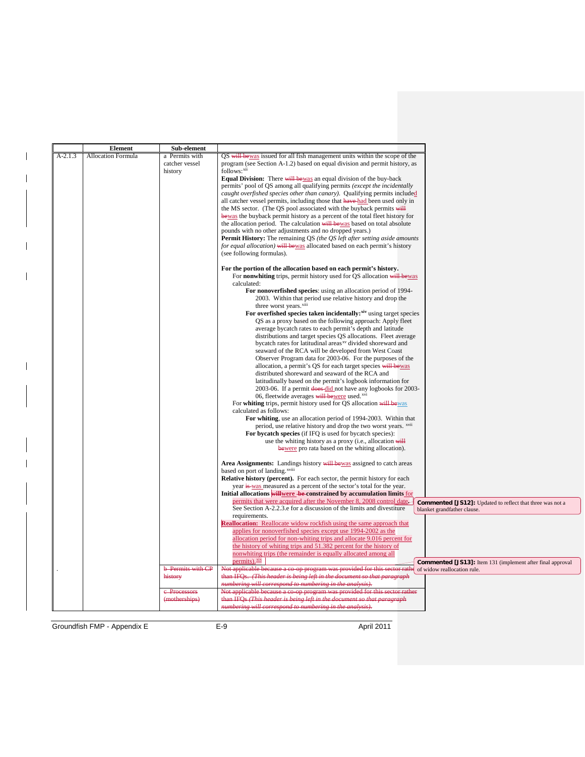|           | <b>Element</b>            | Sub-element                   |                                                                                                                                                                                   |
|-----------|---------------------------|-------------------------------|-----------------------------------------------------------------------------------------------------------------------------------------------------------------------------------|
| $A-2.1.3$ | <b>Allocation Formula</b> | a Permits with                | QS will be was issued for all fish management units within the scope of the                                                                                                       |
|           |                           | catcher vessel                | program (see Section A-1.2) based on equal division and permit history, as                                                                                                        |
|           |                           | history                       | follows:xii                                                                                                                                                                       |
|           |                           |                               | Equal Division: There will be was an equal division of the buy-back<br>permits' pool of QS among all qualifying permits (except the incidentally                                  |
|           |                           |                               | caught overfished species other than canary). Qualifying permits included                                                                                                         |
|           |                           |                               | all catcher vessel permits, including those that have had been used only in                                                                                                       |
|           |                           |                               | the MS sector. (The QS pool associated with the buyback permits will                                                                                                              |
|           |                           |                               | bewas the buyback permit history as a percent of the total fleet history for                                                                                                      |
|           |                           |                               | the allocation period. The calculation will be was based on total absolute                                                                                                        |
|           |                           |                               | pounds with no other adjustments and no dropped years.)                                                                                                                           |
|           |                           |                               | Permit History: The remaining QS (the QS left after setting aside amounts                                                                                                         |
|           |                           |                               | for equal allocation) will be was allocated based on each permit's history                                                                                                        |
|           |                           |                               | (see following formulas).                                                                                                                                                         |
|           |                           |                               | For the portion of the allocation based on each permit's history.                                                                                                                 |
|           |                           |                               | For <b>nonwhiting</b> trips, permit history used for QS allocation will be was<br>calculated:                                                                                     |
|           |                           |                               | For nonoverfished species: using an allocation period of 1994-                                                                                                                    |
|           |                           |                               | 2003. Within that period use relative history and drop the                                                                                                                        |
|           |                           |                               | three worst years. <sup>xiii</sup>                                                                                                                                                |
|           |                           |                               | For overfished species taken incidentally: xiv using target species                                                                                                               |
|           |                           |                               | QS as a proxy based on the following approach: Apply fleet                                                                                                                        |
|           |                           |                               | average bycatch rates to each permit's depth and latitude                                                                                                                         |
|           |                           |                               | distributions and target species QS allocations. Fleet average                                                                                                                    |
|           |                           |                               | bycatch rates for latitudinal areas <sup>xv</sup> divided shoreward and                                                                                                           |
|           |                           |                               | seaward of the RCA will be developed from West Coast                                                                                                                              |
|           |                           |                               | Observer Program data for 2003-06. For the purposes of the<br>allocation, a permit's QS for each target species will be was                                                       |
|           |                           |                               | distributed shoreward and seaward of the RCA and                                                                                                                                  |
|           |                           |                               | latitudinally based on the permit's logbook information for                                                                                                                       |
|           |                           |                               | 2003-06. If a permit does-did not have any logbooks for 2003-                                                                                                                     |
|           |                           |                               | 06, fleetwide averages will be were used. <sup>xvi</sup>                                                                                                                          |
|           |                           |                               | For whiting trips, permit history used for QS allocation will be was                                                                                                              |
|           |                           |                               | calculated as follows:                                                                                                                                                            |
|           |                           |                               | For whiting, use an allocation period of 1994-2003. Within that                                                                                                                   |
|           |                           |                               | period, use relative history and drop the two worst years. <sup>xvii</sup>                                                                                                        |
|           |                           |                               | For bycatch species (if IFO is used for bycatch species):                                                                                                                         |
|           |                           |                               | use the whiting history as a proxy (i.e., allocation will                                                                                                                         |
|           |                           |                               | bewere pro rata based on the whiting allocation).                                                                                                                                 |
|           |                           |                               | Area Assignments: Landings history will be was assigned to catch areas                                                                                                            |
|           |                           |                               | based on port of landing. <sup>xviii</sup><br><b>Relative history (percent).</b> For each sector, the permit history for each                                                     |
|           |                           |                               | year is was measured as a percent of the sector's total for the year.                                                                                                             |
|           |                           |                               | Initial allocations willwere be constrained by accumulation limits for                                                                                                            |
|           |                           |                               | permits that were acquired after the November 8, 2008 control date<br>Commented [JS12]: Updated to reflect that three was not a                                                   |
|           |                           |                               | See Section A-2.2.3.e for a discussion of the limits and divestiture<br>blanket grandfather clause.                                                                               |
|           |                           |                               | requirements.                                                                                                                                                                     |
|           |                           |                               | <b>Reallocation:</b> Reallocate widow rockfish using the same approach that                                                                                                       |
|           |                           |                               | applies for nonoverfished species except use 1994-2002 as the                                                                                                                     |
|           |                           |                               | allocation period for non-whiting trips and allocate 9.016 percent for                                                                                                            |
|           |                           |                               | the history of whiting trips and 51.382 percent for the history of                                                                                                                |
|           |                           |                               | nonwhiting trips (the remainder is equally allocated among all                                                                                                                    |
|           |                           |                               | permits). xix<br><b>Commented [JS13]:</b> Item 131 (implement after final approval                                                                                                |
|           |                           | <b>b</b> Permits with CP      | Not applicable because a co-op program was provided for this sector rather of widow reallocation rule.<br>than IFQs. (This header is being left in the document so that paragraph |
|           |                           | history                       | numbering will correspond to numbering in the analysis).                                                                                                                          |
|           |                           |                               | Not applicable because a co-op program was provided for this sector rather                                                                                                        |
|           |                           |                               |                                                                                                                                                                                   |
|           |                           | e-Processors<br>(motherships) | than IFQs (This header is being left in the document so that paragraph                                                                                                            |

Groundfish FMP - Appendix E E-9 April 2011

 $\overline{\phantom{a}}$ 

 $\overline{\phantom{a}}$ 

 $\overline{\phantom{a}}$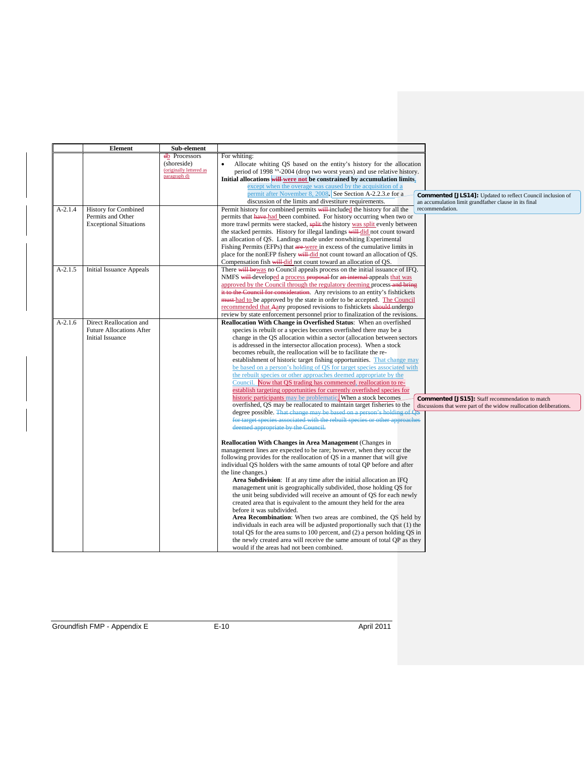|           | <b>Element</b>                  | Sub-element             |                                                                                                                                              |
|-----------|---------------------------------|-------------------------|----------------------------------------------------------------------------------------------------------------------------------------------|
|           |                                 | db Processors           | For whiting:                                                                                                                                 |
|           |                                 | (shoreside)             | Allocate whiting QS based on the entity's history for the allocation                                                                         |
|           |                                 | (originally lettered as | period of 1998 xx-2004 (drop two worst years) and use relative history.                                                                      |
|           |                                 | paragraph d)            | Initial allocations will were not be constrained by accumulation limits.                                                                     |
|           |                                 |                         | except when the overage was caused by the acquisition of a                                                                                   |
|           |                                 |                         | permit after November 8, 2008. See Section A-2.2.3.e for a<br><b>Commented [JLS14]:</b> Updated to reflect Council inclusion of              |
|           |                                 |                         | discussion of the limits and divestiture requirements.<br>an accumulation limit grandfather clause in its final                              |
| $A-2.1.4$ | <b>History for Combined</b>     |                         | Permit history for combined permits will included the history for all the<br>recommendation.                                                 |
|           | Permits and Other               |                         | permits that have had been combined. For history occurring when two or                                                                       |
|           | <b>Exceptional Situations</b>   |                         | more trawl permits were stacked, split the history was split evenly between                                                                  |
|           |                                 |                         | the stacked permits. History for illegal landings will did not count toward                                                                  |
|           |                                 |                         | an allocation of QS. Landings made under nonwhiting Experimental                                                                             |
|           |                                 |                         | Fishing Permits (EFPs) that are were in excess of the cumulative limits in                                                                   |
|           |                                 |                         | place for the nonEFP fishery will did not count toward an allocation of QS.                                                                  |
|           |                                 |                         | Compensation fish will-did not count toward an allocation of QS.                                                                             |
| $A-2.1.5$ | <b>Initial Issuance Appeals</b> |                         | There will be was no Council appeals process on the initial issuance of IFQ.                                                                 |
|           |                                 |                         | NMFS will developed a process proposal for an internal appeals that was                                                                      |
|           |                                 |                         | approved by the Council through the regulatory deeming process-and bring                                                                     |
|           |                                 |                         | it to the Council for consideration. Any revisions to an entity's fishtickets                                                                |
|           |                                 |                         | must had to be approved by the state in order to be accepted. The Council                                                                    |
|           |                                 |                         | recommended that Aany proposed revisions to fishtickets should undergo                                                                       |
|           |                                 |                         | review by state enforcement personnel prior to finalization of the revisions.                                                                |
| $A-2.1.6$ | Direct Reallocation and         |                         | Reallocation With Change in Overfished Status: When an overfished                                                                            |
|           | <b>Future Allocations After</b> |                         | species is rebuilt or a species becomes overfished there may be a                                                                            |
|           | Initial Issuance                |                         | change in the QS allocation within a sector (allocation between sectors                                                                      |
|           |                                 |                         | is addressed in the intersector allocation process). When a stock                                                                            |
|           |                                 |                         | becomes rebuilt, the reallocation will be to facilitate the re-                                                                              |
|           |                                 |                         | establishment of historic target fishing opportunities. That change may                                                                      |
|           |                                 |                         | be based on a person's holding of QS for target species associated with                                                                      |
|           |                                 |                         | the rebuilt species or other approaches deemed appropriate by the                                                                            |
|           |                                 |                         | Council. Now that QS trading has commenced, reallocation to re-                                                                              |
|           |                                 |                         | establish targeting opportunities for currently overfished species for                                                                       |
|           |                                 |                         | historic participants may be problematic. When a stock becomes<br>Commented [JS15]: Staff recommendation to match                            |
|           |                                 |                         | overfished, OS may be reallocated to maintain target fisheries to the<br>discussions that were part of the widow reallocation deliberations. |
|           |                                 |                         | degree possible. That change may be based on a person's holding of $\overline{QS}$                                                           |
|           |                                 |                         | for target species associated with the rebuilt species or other approaches                                                                   |
|           |                                 |                         | deemed appropriate by the Council.                                                                                                           |
|           |                                 |                         |                                                                                                                                              |
|           |                                 |                         | <b>Reallocation With Changes in Area Management (Changes in</b>                                                                              |
|           |                                 |                         | management lines are expected to be rare; however, when they occur the                                                                       |
|           |                                 |                         | following provides for the reallocation of QS in a manner that will give                                                                     |
|           |                                 |                         | individual QS holders with the same amounts of total QP before and after                                                                     |
|           |                                 |                         | the line changes.)                                                                                                                           |
|           |                                 |                         | <b>Area Subdivision:</b> If at any time after the initial allocation an IFQ                                                                  |
|           |                                 |                         | management unit is geographically subdivided, those holding QS for                                                                           |
|           |                                 |                         | the unit being subdivided will receive an amount of QS for each newly                                                                        |
|           |                                 |                         | created area that is equivalent to the amount they held for the area                                                                         |
|           |                                 |                         | before it was subdivided.                                                                                                                    |
|           |                                 |                         | Area Recombination: When two areas are combined, the OS held by                                                                              |
|           |                                 |                         | individuals in each area will be adjusted proportionally such that (1) the                                                                   |
|           |                                 |                         | total QS for the area sums to 100 percent, and (2) a person holding QS in                                                                    |
|           |                                 |                         | the newly created area will receive the same amount of total QP as they                                                                      |
|           |                                 |                         | would if the areas had not been combined.                                                                                                    |
|           |                                 |                         |                                                                                                                                              |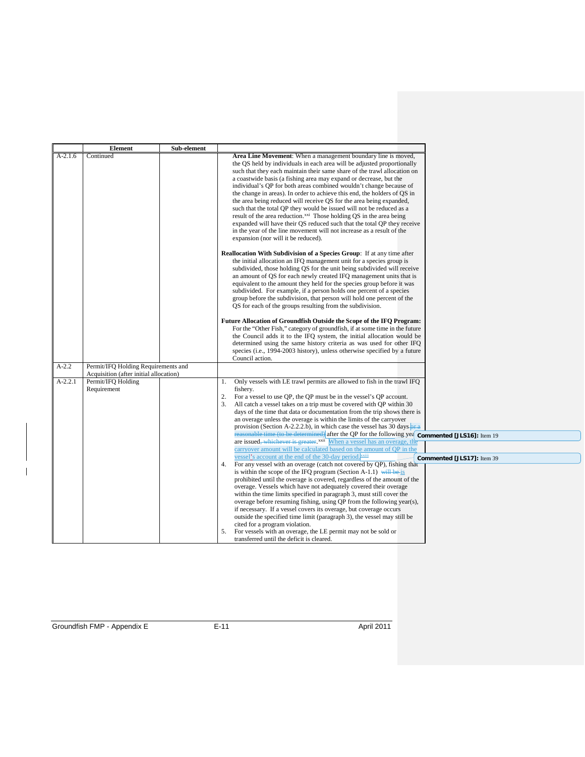| $A-2.1.6$<br>Area Line Movement: When a management boundary line is moved,<br>Continued<br>the QS held by individuals in each area will be adjusted proportionally<br>such that they each maintain their same share of the trawl allocation on<br>a coastwide basis (a fishing area may expand or decrease, but the<br>individual's QP for both areas combined wouldn't change because of<br>the change in areas). In order to achieve this end, the holders of QS in<br>the area being reduced will receive QS for the area being expanded,<br>such that the total QP they would be issued will not be reduced as a<br>result of the area reduction. <sup>xxi</sup> Those holding QS in the area being<br>expanded will have their QS reduced such that the total QP they receive<br>in the year of the line movement will not increase as a result of the<br>expansion (nor will it be reduced).<br><b>Reallocation With Subdivision of a Species Group:</b> If at any time after<br>the initial allocation an IFQ management unit for a species group is<br>subdivided, those holding QS for the unit being subdivided will receive<br>an amount of QS for each newly created IFQ management units that is<br>equivalent to the amount they held for the species group before it was<br>subdivided. For example, if a person holds one percent of a species<br>group before the subdivision, that person will hold one percent of the<br>QS for each of the groups resulting from the subdivision.<br>Future Allocation of Groundfish Outside the Scope of the IFQ Program:<br>For the "Other Fish," category of groundfish, if at some time in the future<br>the Council adds it to the IFQ system, the initial allocation would be<br>determined using the same history criteria as was used for other IFQ<br>species (i.e., 1994-2003 history), unless otherwise specified by a future<br>Council action.<br>$A-2.2$<br>Permit/IFQ Holding Requirements and<br>Acquisition (after initial allocation)<br>Only vessels with LE trawl permits are allowed to fish in the trawl IFQ<br>$A-2.2.1$<br>Permit/IFQ Holding<br>1.<br>Requirement<br>fishery.<br>2.<br>For a vessel to use QP, the QP must be in the vessel's QP account.<br>All catch a vessel takes on a trip must be covered with QP within 30<br>days of the time that data or documentation from the trip shows there is<br>an overage unless the overage is within the limits of the carryover<br>provision (Section A-2.2.2.b), in which case the vessel has 30 days- $\overline{or}$ a<br>reasonable time (to be determined) after the QP for the following yea commented [JLS16]: Item 19<br>are issued, whichever is greater. xxii When a vessel has an overage, the<br>carryover amount will be calculated based on the amount of OP in the<br>vessel's account at the end of the 30-day period.<br>Commented [JLS17]: Item 39<br>For any vessel with an overage (catch not covered by QP), fishing that<br>4.<br>is within the scope of the IFQ program (Section A-1.1) will be is<br>prohibited until the overage is covered, regardless of the amount of the<br>overage. Vessels which have not adequately covered their overage<br>within the time limits specified in paragraph 3, must still cover the<br>overage before resuming fishing, using QP from the following year(s),<br>if necessary. If a vessel covers its overage, but coverage occurs<br>outside the specified time limit (paragraph 3), the vessel may still be | Element | Sub-element |                                |
|---------------------------------------------------------------------------------------------------------------------------------------------------------------------------------------------------------------------------------------------------------------------------------------------------------------------------------------------------------------------------------------------------------------------------------------------------------------------------------------------------------------------------------------------------------------------------------------------------------------------------------------------------------------------------------------------------------------------------------------------------------------------------------------------------------------------------------------------------------------------------------------------------------------------------------------------------------------------------------------------------------------------------------------------------------------------------------------------------------------------------------------------------------------------------------------------------------------------------------------------------------------------------------------------------------------------------------------------------------------------------------------------------------------------------------------------------------------------------------------------------------------------------------------------------------------------------------------------------------------------------------------------------------------------------------------------------------------------------------------------------------------------------------------------------------------------------------------------------------------------------------------------------------------------------------------------------------------------------------------------------------------------------------------------------------------------------------------------------------------------------------------------------------------------------------------------------------------------------------------------------------------------------------------------------------------------------------------------------------------------------------------------------------------------------------------------------------------------------------------------------------------------------------------------------------------------------------------------------------------------------------------------------------------------------------------------------------------------------------------------------------------------------------------------------------------------------------------------------------------------------------------------------------------------------------------------------------------------------------------------------------------------------------------------------------------------------------------------------------------------------------------------------------------------------------------------------------------------------------------------------------------------------------------------------------------------------------------------------------------------------------------------------------------------------------------------------------------------------------------------------------------|---------|-------------|--------------------------------|
|                                                                                                                                                                                                                                                                                                                                                                                                                                                                                                                                                                                                                                                                                                                                                                                                                                                                                                                                                                                                                                                                                                                                                                                                                                                                                                                                                                                                                                                                                                                                                                                                                                                                                                                                                                                                                                                                                                                                                                                                                                                                                                                                                                                                                                                                                                                                                                                                                                                                                                                                                                                                                                                                                                                                                                                                                                                                                                                                                                                                                                                                                                                                                                                                                                                                                                                                                                                                                                                                                                               |         |             |                                |
|                                                                                                                                                                                                                                                                                                                                                                                                                                                                                                                                                                                                                                                                                                                                                                                                                                                                                                                                                                                                                                                                                                                                                                                                                                                                                                                                                                                                                                                                                                                                                                                                                                                                                                                                                                                                                                                                                                                                                                                                                                                                                                                                                                                                                                                                                                                                                                                                                                                                                                                                                                                                                                                                                                                                                                                                                                                                                                                                                                                                                                                                                                                                                                                                                                                                                                                                                                                                                                                                                                               |         |             |                                |
|                                                                                                                                                                                                                                                                                                                                                                                                                                                                                                                                                                                                                                                                                                                                                                                                                                                                                                                                                                                                                                                                                                                                                                                                                                                                                                                                                                                                                                                                                                                                                                                                                                                                                                                                                                                                                                                                                                                                                                                                                                                                                                                                                                                                                                                                                                                                                                                                                                                                                                                                                                                                                                                                                                                                                                                                                                                                                                                                                                                                                                                                                                                                                                                                                                                                                                                                                                                                                                                                                                               |         |             |                                |
|                                                                                                                                                                                                                                                                                                                                                                                                                                                                                                                                                                                                                                                                                                                                                                                                                                                                                                                                                                                                                                                                                                                                                                                                                                                                                                                                                                                                                                                                                                                                                                                                                                                                                                                                                                                                                                                                                                                                                                                                                                                                                                                                                                                                                                                                                                                                                                                                                                                                                                                                                                                                                                                                                                                                                                                                                                                                                                                                                                                                                                                                                                                                                                                                                                                                                                                                                                                                                                                                                                               |         |             |                                |
|                                                                                                                                                                                                                                                                                                                                                                                                                                                                                                                                                                                                                                                                                                                                                                                                                                                                                                                                                                                                                                                                                                                                                                                                                                                                                                                                                                                                                                                                                                                                                                                                                                                                                                                                                                                                                                                                                                                                                                                                                                                                                                                                                                                                                                                                                                                                                                                                                                                                                                                                                                                                                                                                                                                                                                                                                                                                                                                                                                                                                                                                                                                                                                                                                                                                                                                                                                                                                                                                                                               |         |             |                                |
| For vessels with an overage, the LE permit may not be sold or<br>5.                                                                                                                                                                                                                                                                                                                                                                                                                                                                                                                                                                                                                                                                                                                                                                                                                                                                                                                                                                                                                                                                                                                                                                                                                                                                                                                                                                                                                                                                                                                                                                                                                                                                                                                                                                                                                                                                                                                                                                                                                                                                                                                                                                                                                                                                                                                                                                                                                                                                                                                                                                                                                                                                                                                                                                                                                                                                                                                                                                                                                                                                                                                                                                                                                                                                                                                                                                                                                                           |         |             | cited for a program violation. |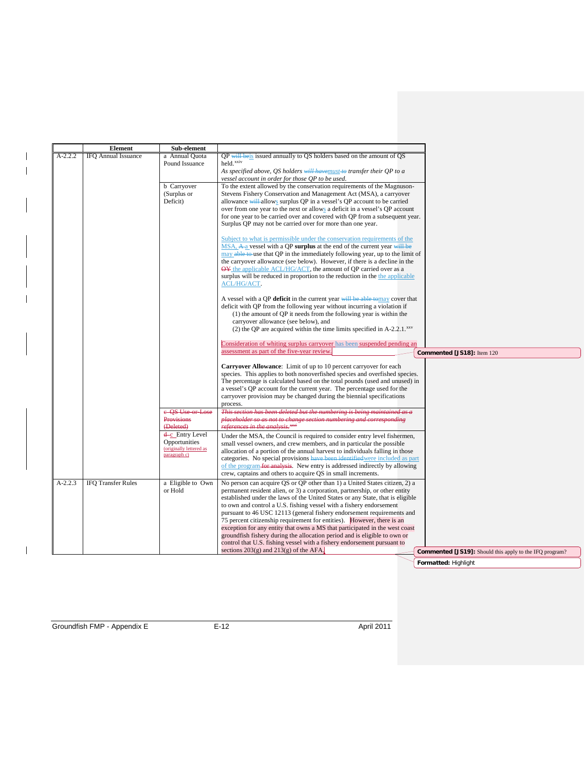|             | <b>Element</b>            | Sub-element                      |                                                                                                                                                               |                                                                |
|-------------|---------------------------|----------------------------------|---------------------------------------------------------------------------------------------------------------------------------------------------------------|----------------------------------------------------------------|
| $A-2.2.2$   | IFQ Annual Issuance       | a Annual Quota                   | QP will be is issued annually to QS holders based on the amount of QS                                                                                         |                                                                |
|             |                           | Pound Issuance                   | held. <sup>xxiv</sup>                                                                                                                                         |                                                                |
|             |                           |                                  | As specified above, QS holders will have must to transfer their QP to a                                                                                       |                                                                |
|             |                           |                                  | vessel account in order for those QP to be used.                                                                                                              |                                                                |
|             |                           | b Carryover                      | To the extent allowed by the conservation requirements of the Magnuson-                                                                                       |                                                                |
|             |                           | (Surplus or<br>Deficit)          | Stevens Fishery Conservation and Management Act (MSA), a carryover                                                                                            |                                                                |
|             |                           |                                  | allowance will allows surplus QP in a vessel's QP account to be carried<br>over from one year to the next or allows a deficit in a vessel's QP account        |                                                                |
|             |                           |                                  | for one year to be carried over and covered with QP from a subsequent year.                                                                                   |                                                                |
|             |                           |                                  | Surplus QP may not be carried over for more than one year.                                                                                                    |                                                                |
|             |                           |                                  | Subject to what is permissible under the conservation requirements of the                                                                                     |                                                                |
|             |                           |                                  | MSA, A a vessel with a QP surplus at the end of the current year will be                                                                                      |                                                                |
|             |                           |                                  | may able to use that QP in the immediately following year, up to the limit of<br>the carryover allowance (see below). However, if there is a decline in the   |                                                                |
|             |                           |                                  | QY the applicable ACL/HG/ACT, the amount of QP carried over as a                                                                                              |                                                                |
|             |                           |                                  | surplus will be reduced in proportion to the reduction in the the applicable                                                                                  |                                                                |
|             |                           |                                  | <b>ACL/HG/ACT.</b>                                                                                                                                            |                                                                |
|             |                           |                                  | A vessel with a QP deficit in the current year will be able tomay cover that                                                                                  |                                                                |
|             |                           |                                  | deficit with QP from the following year without incurring a violation if                                                                                      |                                                                |
|             |                           |                                  | (1) the amount of QP it needs from the following year is within the                                                                                           |                                                                |
|             |                           |                                  | carryover allowance (see below), and                                                                                                                          |                                                                |
|             |                           |                                  | (2) the QP are acquired within the time limits specified in $A-2.2.1$ . xxv                                                                                   |                                                                |
|             |                           |                                  | Consideration of whiting surplus carryover has been suspended pending an                                                                                      |                                                                |
|             |                           |                                  | assessment as part of the five-year review.                                                                                                                   | Commented [JS18]: Item 120                                     |
|             |                           |                                  | Carryover Allowance: Limit of up to 10 percent carryover for each                                                                                             |                                                                |
|             |                           |                                  | species. This applies to both nonoverfished species and overfished species.                                                                                   |                                                                |
|             |                           |                                  | The percentage is calculated based on the total pounds (used and unused) in                                                                                   |                                                                |
|             |                           |                                  | a vessel's QP account for the current year. The percentage used for the                                                                                       |                                                                |
|             |                           |                                  | carryover provision may be changed during the biennial specifications                                                                                         |                                                                |
|             |                           |                                  | process.                                                                                                                                                      |                                                                |
|             |                           | e-OS-Use-or-Lose                 | This section has been deleted but the numbering is being maintained as a                                                                                      |                                                                |
|             |                           | Provisions                       | placeholder so as not to change section numbering and corresponding                                                                                           |                                                                |
|             |                           | (Deleted)                        | references in the analysis. <sup>xxvi</sup>                                                                                                                   |                                                                |
|             |                           | d-c_Entry Level<br>Opportunities | Under the MSA, the Council is required to consider entry level fishermen,                                                                                     |                                                                |
|             |                           | (originally lettered as          | small vessel owners, and crew members, and in particular the possible                                                                                         |                                                                |
|             |                           | paragraph c)                     | allocation of a portion of the annual harvest to individuals falling in those<br>categories. No special provisions have been identified were included as part |                                                                |
|             |                           |                                  | of the program for analysis. New entry is addressed indirectly by allowing                                                                                    |                                                                |
|             |                           |                                  | crew, captains and others to acquire QS in small increments.                                                                                                  |                                                                |
| $A - 2.2.3$ | <b>IFO Transfer Rules</b> | a Eligible to Own                | No person can acquire QS or QP other than 1) a United States citizen, 2) a                                                                                    |                                                                |
|             |                           | or Hold                          | permanent resident alien, or 3) a corporation, partnership, or other entity                                                                                   |                                                                |
|             |                           |                                  | established under the laws of the United States or any State, that is eligible                                                                                |                                                                |
|             |                           |                                  | to own and control a U.S. fishing vessel with a fishery endorsement                                                                                           |                                                                |
|             |                           |                                  | pursuant to 46 USC 12113 (general fishery endorsement requirements and                                                                                        |                                                                |
|             |                           |                                  | 75 percent citizenship requirement for entities). However, there is an                                                                                        |                                                                |
|             |                           |                                  | exception for any entity that owns a MS that participated in the west coast                                                                                   |                                                                |
|             |                           |                                  | groundfish fishery during the allocation period and is eligible to own or<br>control that U.S. fishing vessel with a fishery endorsement pursuant to          |                                                                |
|             |                           |                                  | sections $203(g)$ and $213(g)$ of the AFA,                                                                                                                    |                                                                |
|             |                           |                                  |                                                                                                                                                               | <b>Commented [JS19]:</b> Should this apply to the IFQ program? |
|             |                           |                                  |                                                                                                                                                               | Formatted: Highlight                                           |

 $\begin{array}{c} \hline \end{array}$  $\overline{1}$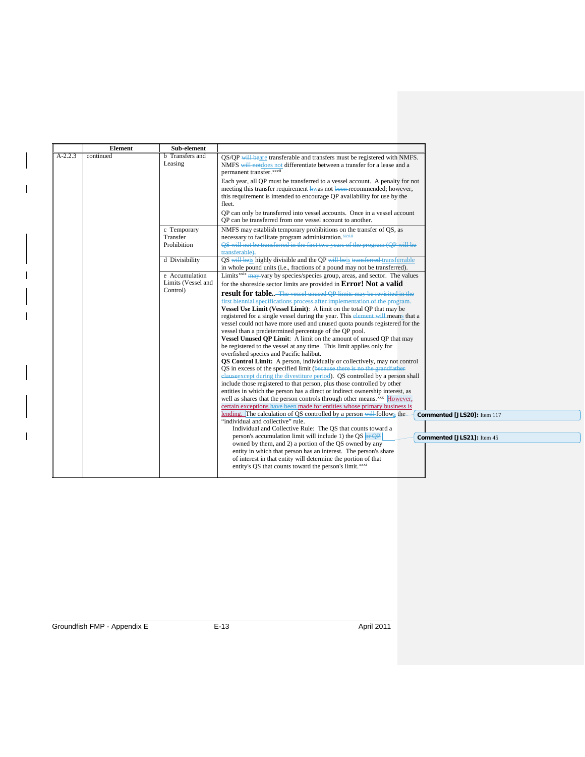|           | Element   | Sub-element            |                                                                                                                                             |
|-----------|-----------|------------------------|---------------------------------------------------------------------------------------------------------------------------------------------|
| $A-2.2.3$ | continued | <b>b</b> Transfers and | QS/QP will beare transferable and transfers must be registered with NMFS.                                                                   |
|           |           | Leasing                | NMFS will notdoes not differentiate between a transfer for a lease and a                                                                    |
|           |           |                        | permanent transfer. <sup>xxvii</sup>                                                                                                        |
|           |           |                        | Each year, all QP must be transferred to a vessel account. A penalty for not                                                                |
|           |           |                        | meeting this transfer requirement hwas not been recommended; however,                                                                       |
|           |           |                        | this requirement is intended to encourage QP availability for use by the                                                                    |
|           |           |                        | fleet.                                                                                                                                      |
|           |           |                        | QP can only be transferred into vessel accounts. Once in a vessel account                                                                   |
|           |           |                        | OP can be transferred from one vessel account to another.                                                                                   |
|           |           | c Temporary            | NMFS may establish temporary prohibitions on the transfer of QS, as                                                                         |
|           |           | Transfer               | necessary to facilitate program administration. <b>XXVIII</b>                                                                               |
|           |           | Prohibition            | OS will not be transferred in the first two years of the program (QP will be                                                                |
|           |           |                        | transferable).                                                                                                                              |
|           |           | d Divisibility         | QS will be is highly divisible and the QP will be is transferred transferrable                                                              |
|           |           |                        | in whole pound units (i.e., fractions of a pound may not be transferred).                                                                   |
|           |           | e Accumulation         | Limits <sup>xxix</sup> may vary by species/species group, areas, and sector. The values                                                     |
|           |           | Limits (Vessel and     | for the shoreside sector limits are provided in <b>Error!</b> Not a valid                                                                   |
|           |           | Control)               | <b>result for table.</b> The vessel unused OP limits may be revisited in the                                                                |
|           |           |                        | first biennial specifications process after implementation of the program.                                                                  |
|           |           |                        | Vessel Use Limit (Vessel Limit): A limit on the total OP that may be                                                                        |
|           |           |                        | registered for a single vessel during the year. This element will means that a                                                              |
|           |           |                        | vessel could not have more used and unused quota pounds registered for the                                                                  |
|           |           |                        | vessel than a predetermined percentage of the OP pool.                                                                                      |
|           |           |                        | Vessel Unused QP Limit: A limit on the amount of unused QP that may<br>be registered to the vessel at any time. This limit applies only for |
|           |           |                        | overfished species and Pacific halibut.                                                                                                     |
|           |           |                        | QS Control Limit: A person, individually or collectively, may not control                                                                   |
|           |           |                        | QS in excess of the specified limit (because there is no the grandfather                                                                    |
|           |           |                        | elauseexcept during the divestiture period). QS controlled by a person shall                                                                |
|           |           |                        | include those registered to that person, plus those controlled by other                                                                     |
|           |           |                        | entities in which the person has a direct or indirect ownership interest, as                                                                |
|           |           |                        | well as shares that the person controls through other means. <sup>xxx</sup> However,                                                        |
|           |           |                        | certain exceptions have been made for entities whose primary business is                                                                    |
|           |           |                        | lending. The calculation of QS controlled by a person will follows the<br>Commented [JLS20]: Item 117                                       |
|           |           |                        | "individual and collective" rule.                                                                                                           |
|           |           |                        | Individual and Collective Rule: The OS that counts toward a                                                                                 |
|           |           |                        | person's accumulation limit will include 1) the QS $_{\text{OF } \text{QP}}$<br>Commented [JLS21]: Item 45                                  |
|           |           |                        | owned by them, and 2) a portion of the QS owned by any                                                                                      |
|           |           |                        | entity in which that person has an interest. The person's share<br>of interest in that entity will determine the portion of that            |
|           |           |                        | entity's OS that counts toward the person's limit. <sup>xxxi</sup>                                                                          |
|           |           |                        |                                                                                                                                             |

I

 $\overline{\phantom{a}}$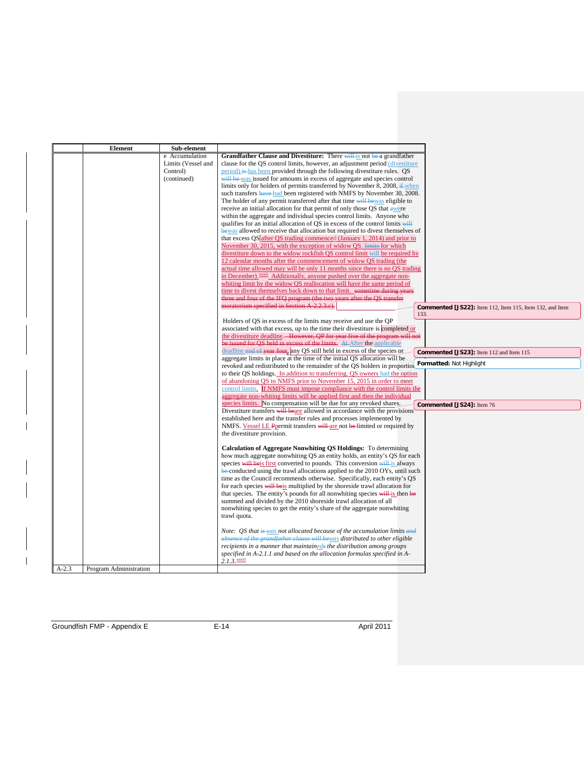|         | <b>Element</b>         | Sub-element        |                                                                                                                                                   |
|---------|------------------------|--------------------|---------------------------------------------------------------------------------------------------------------------------------------------------|
|         |                        | e Accumulation     | <b>Grandfather Clause and Divestiture:</b> There will is not be a grandfather                                                                     |
|         |                        | Limits (Vessel and | clause for the QS control limits, however, an adjustment period (divestiture                                                                      |
|         |                        | Control)           | period) is has been provided through the following divestiture rules. QS                                                                          |
|         |                        | (continued)        | will be was issued for amounts in excess of aggregate and species control                                                                         |
|         |                        |                    | limits only for holders of permits transferred by November 8, 2008, $\frac{1}{2}$ when                                                            |
|         |                        |                    | such transfers have had been registered with NMFS by November 30, 2008.                                                                           |
|         |                        |                    | The holder of any permit transferred after that time will be was eligible to                                                                      |
|         |                        |                    | receive an initial allocation for that permit of only those QS that awere                                                                         |
|         |                        |                    | within the aggregate and individual species control limits. Anyone who                                                                            |
|         |                        |                    | qualifies for an initial allocation of QS in excess of the control limits will                                                                    |
|         |                        |                    | bewas allowed to receive that allocation but required to divest themselves of                                                                     |
|         |                        |                    | that excess QS after QS trading commenced (January 1, 2014) and prior to                                                                          |
|         |                        |                    | November 30, 2015, with the exception of widow QS, limits for which                                                                               |
|         |                        |                    | divestiture down to the widow rockfish QS control limit will be required by                                                                       |
|         |                        |                    | 12 calendar months after the commencement of widow QS trading (the                                                                                |
|         |                        |                    | actual time allowed may will be only 11 months since there is no QS trading                                                                       |
|         |                        |                    | in December). <i>xxxii</i> Additionally, anyone pushed over the aggregate non-                                                                    |
|         |                        |                    | whiting limit by the widow QS reallocation will have the same period of                                                                           |
|         |                        |                    |                                                                                                                                                   |
|         |                        |                    | time to divest themselves back down to that limit. sometime during years                                                                          |
|         |                        |                    | three and four of the IFQ program (the two years after the QS transfer<br>moratorium specified in Section A-2.2.3.e).                             |
|         |                        |                    | Commented [JS22]: Item 112, Item 115, Item 132, and Item                                                                                          |
|         |                        |                    | 133.                                                                                                                                              |
|         |                        |                    | Holders of QS in excess of the limits may receive and use the QP<br>associated with that excess, up to the time their divestiture is completed or |
|         |                        |                    |                                                                                                                                                   |
|         |                        |                    | the divestiture deadline. However, QP for year five of the program will not                                                                       |
|         |                        |                    | be issued for QS held in excess of the limits. At After the applicable                                                                            |
|         |                        |                    | deadline end of year four, any QS still held in excess of the species or<br>Commented [JS23]: Item 112 and Item 115                               |
|         |                        |                    | aggregate limits in place at the time of the initial QS allocation will be-<br>Formatted: Not Highlight                                           |
|         |                        |                    | revoked and redistributed to the remainder of the QS holders in proportion                                                                        |
|         |                        |                    | to their QS holdings. In addition to transferring, QS owners had the option                                                                       |
|         |                        |                    | of abandoning QS to NMFS prior to November 15, 2015 in order to meet                                                                              |
|         |                        |                    | control limits. If NMFS must impose compliance with the control limits the                                                                        |
|         |                        |                    | aggregate non-whiting limits will be applied first and then the individual                                                                        |
|         |                        |                    | species limits. No compensation will be due for any revoked shares.<br>Commented [JS24]: Item 76                                                  |
|         |                        |                    | Divestiture transfers will beare allowed in accordance with the provisions                                                                        |
|         |                        |                    | established here and the transfer rules and processes implemented by                                                                              |
|         |                        |                    | NMFS. Vessel LE Ppermit transfers will are not be limited or required by                                                                          |
|         |                        |                    | the divestiture provision.                                                                                                                        |
|         |                        |                    |                                                                                                                                                   |
|         |                        |                    | Calculation of Aggregate Nonwhiting OS Holdings: To determining                                                                                   |
|         |                        |                    | how much aggregate nonwhiting QS an entity holds, an entity's QS for each                                                                         |
|         |                        |                    | species will be is first converted to pounds. This conversion will is always                                                                      |
|         |                        |                    | be-conducted using the trawl allocations applied to the 2010 OYs, until such                                                                      |
|         |                        |                    | time as the Council recommends otherwise. Specifically, each entity's QS                                                                          |
|         |                        |                    | for each species will be is multiplied by the shoreside trawl allocation for                                                                      |
|         |                        |                    | that species. The entity's pounds for all nonwhiting species will is then be                                                                      |
|         |                        |                    | summed and divided by the 2010 shoreside trawl allocation of all                                                                                  |
|         |                        |                    | nonwhiting species to get the entity's share of the aggregate nonwhiting                                                                          |
|         |                        |                    | trawl quota.                                                                                                                                      |
|         |                        |                    |                                                                                                                                                   |
|         |                        |                    | Note: QS that is was not allocated because of the accumulation limits and                                                                         |
|         |                        |                    | absence of the grandfather clause will bewas distributed to other eligible                                                                        |
|         |                        |                    |                                                                                                                                                   |
|         |                        |                    | recipients in a manner that maintaineds the distribution among groups                                                                             |
|         |                        |                    |                                                                                                                                                   |
|         |                        |                    | specified in A-2.1.1 and based on the allocation formulas specified in A-<br>$2.1.3.$ $\frac{x}{100}$                                             |
| $A-2.3$ | Program Administration |                    |                                                                                                                                                   |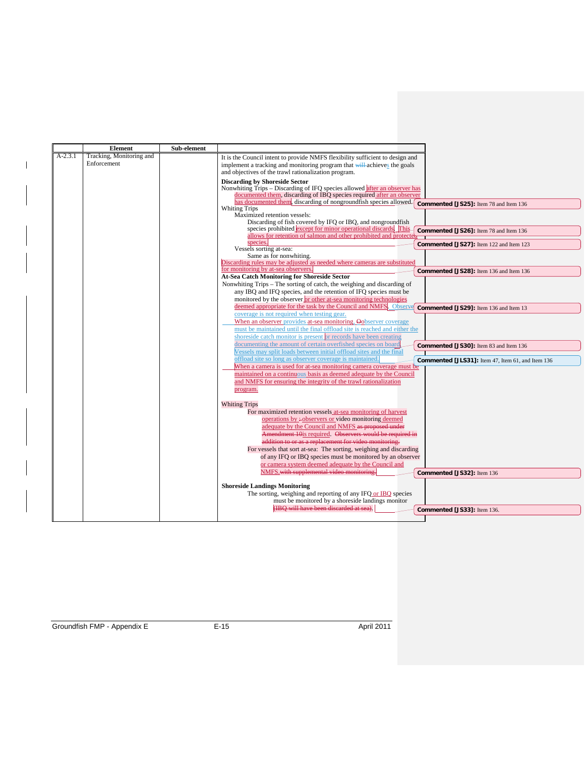|           | <b>Element</b>           | Sub-element |                                                                                                                                                                                |
|-----------|--------------------------|-------------|--------------------------------------------------------------------------------------------------------------------------------------------------------------------------------|
| $A-2.3.1$ | Tracking, Monitoring and |             | It is the Council intent to provide NMFS flexibility sufficient to design and                                                                                                  |
|           | Enforcement              |             | implement a tracking and monitoring program that will achieves the goals<br>and objectives of the trawl rationalization program.                                               |
|           |                          |             | <b>Discarding by Shoreside Sector</b>                                                                                                                                          |
|           |                          |             | Nonwhiting Trips – Discarding of IFQ species allowed after an observer has                                                                                                     |
|           |                          |             | documented them, discarding of IBQ species required after an observer<br>has documented them, discarding of nongroundfish species allowed.                                     |
|           |                          |             | Commented [JS25]: Item 78 and Item 136<br><b>Whiting Trips</b>                                                                                                                 |
|           |                          |             | Maximized retention vessels:<br>Discarding of fish covered by IFQ or IBQ, and nongroundfish                                                                                    |
|           |                          |             |                                                                                                                                                                                |
|           |                          |             | species prohibited except for minor operational discards. This Commented [JS26]: Item 78 and Item 136<br>allows for retention of salmon and other prohibited and protected     |
|           |                          |             | species.<br>Commented [JS27]: Item 122 and Item 123<br>Vessels sorting at-sea:                                                                                                 |
|           |                          |             | Same as for nonwhiting.                                                                                                                                                        |
|           |                          |             | Discarding rules may be adjusted as needed where cameras are substituted                                                                                                       |
|           |                          |             | for monitoring by at-sea observers.<br>Commented [JS28]: Item 136 and Item 136                                                                                                 |
|           |                          |             | At-Sea Catch Monitoring for Shoreside Sector                                                                                                                                   |
|           |                          |             | Nonwhiting Trips – The sorting of catch, the weighing and discarding of                                                                                                        |
|           |                          |             | any IBQ and IFQ species, and the retention of IFQ species must be                                                                                                              |
|           |                          |             | monitored by the observer or other at-sea monitoring technologies                                                                                                              |
|           |                          |             | deemed appropriate for the task by the Council and NMFS. Observed Commented [JS29]: Item 136 and Item 13                                                                       |
|           |                          |             | coverage is not required when testing gear.                                                                                                                                    |
|           |                          |             | When an observer provides at-sea monitoring, Oobserver coverage                                                                                                                |
|           |                          |             | must be maintained until the final offload site is reached and either the                                                                                                      |
|           |                          |             | shoreside catch monitor is present or records have been creating                                                                                                               |
|           |                          |             | documenting the amount of certain overfished species on board<br>Commented [JS30]: Item 83 and Item 136<br>Vessels may split loads between initial offload sites and the final |
|           |                          |             | offload site so long as observer coverage is maintained.                                                                                                                       |
|           |                          |             | <b>Commented [JLS31]:</b> Item 47, Item 61, and Item 136<br>When a camera is used for at-sea monitoring camera coverage must be                                                |
|           |                          |             | maintained on a continuous basis as deemed adequate by the Council                                                                                                             |
|           |                          |             | and NMFS for ensuring the integrity of the trawl rationalization                                                                                                               |
|           |                          |             | program.                                                                                                                                                                       |
|           |                          |             | <b>Whiting Trips</b>                                                                                                                                                           |
|           |                          |             | For maximized retention vessels at-sea monitoring of harvest                                                                                                                   |
|           |                          |             | operations by :- observers or video monitoring deemed                                                                                                                          |
|           |                          |             | adequate by the Council and NMFS as proposed under                                                                                                                             |
|           |                          |             | Amendment 10is required. Observers would be required in                                                                                                                        |
|           |                          |             | addition to or as a replacement for video monitoring.                                                                                                                          |
|           |                          |             | For vessels that sort at-sea: The sorting, weighing and discarding                                                                                                             |
|           |                          |             | of any IFQ or IBQ species must be monitored by an observer                                                                                                                     |
|           |                          |             | or camera system deemed adequate by the Council and                                                                                                                            |
|           |                          |             | NMFS.with supplemental video monitoring.<br>Commented [JS32]: Item 136                                                                                                         |
|           |                          |             |                                                                                                                                                                                |
|           |                          |             | <b>Shoreside Landings Monitoring</b>                                                                                                                                           |
|           |                          |             | The sorting, weighing and reporting of any IFQ or IBQ species                                                                                                                  |
|           |                          |             | must be monitored by a shoreside landings monitor                                                                                                                              |
|           |                          |             | (IBO will have been discarded at sea).<br>Commented [JS33]: Item 136.                                                                                                          |
|           |                          |             |                                                                                                                                                                                |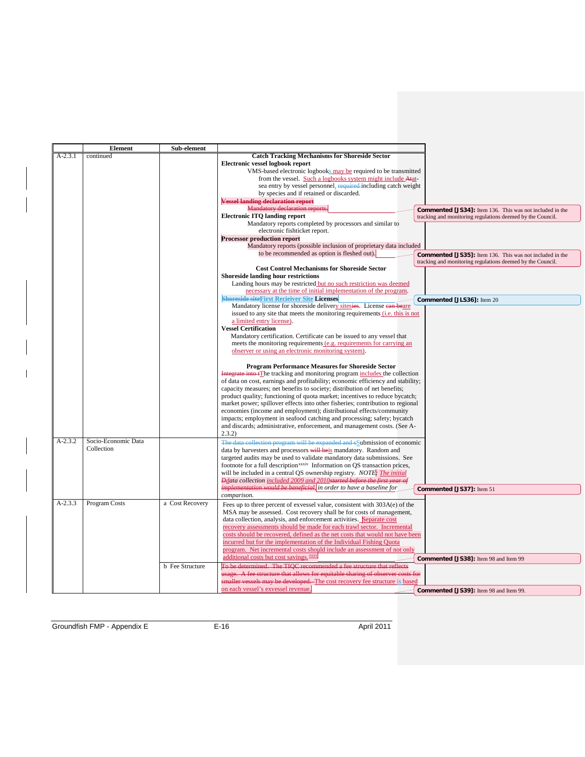|           | <b>Element</b>                    | Sub-element            |                                                                                                                                                                                                                                                                                                                                                                                                                                                                                                                                                                                                                                                                                                                  |
|-----------|-----------------------------------|------------------------|------------------------------------------------------------------------------------------------------------------------------------------------------------------------------------------------------------------------------------------------------------------------------------------------------------------------------------------------------------------------------------------------------------------------------------------------------------------------------------------------------------------------------------------------------------------------------------------------------------------------------------------------------------------------------------------------------------------|
| $A-2.3.1$ | continued                         |                        | <b>Catch Tracking Mechanisms for Shoreside Sector</b><br>Electronic vessel logbook report<br>VMS-based electronic logbooks may be required to be transmitted                                                                                                                                                                                                                                                                                                                                                                                                                                                                                                                                                     |
|           |                                   |                        | from the vessel. Such a logbooks system might include Atat-<br>sea entry by vessel personnel, required including catch weight                                                                                                                                                                                                                                                                                                                                                                                                                                                                                                                                                                                    |
|           |                                   |                        | by species and if retained or discarded.<br><b>Vessel landing declaration report</b>                                                                                                                                                                                                                                                                                                                                                                                                                                                                                                                                                                                                                             |
|           |                                   |                        | Mandatory declaration reports.<br><b>Commented [JS34]:</b> Item 136. This was not included in the                                                                                                                                                                                                                                                                                                                                                                                                                                                                                                                                                                                                                |
|           |                                   |                        | <b>Electronic ITO landing report</b><br>tracking and monitoring regulations deemed by the Council.<br>Mandatory reports completed by processors and similar to                                                                                                                                                                                                                                                                                                                                                                                                                                                                                                                                                   |
|           |                                   |                        | electronic fishticket report.<br><b>Processor production report</b><br>Mandatory reports (possible inclusion of proprietary data included                                                                                                                                                                                                                                                                                                                                                                                                                                                                                                                                                                        |
|           |                                   |                        | to be recommended as option is fleshed out).<br><b>Commented [JS35]:</b> Item 136. This was not included in the<br>tracking and monitoring regulations deemed by the Council.                                                                                                                                                                                                                                                                                                                                                                                                                                                                                                                                    |
|           |                                   |                        | <b>Cost Control Mechanisms for Shoreside Sector</b><br><b>Shoreside landing hour restrictions</b>                                                                                                                                                                                                                                                                                                                                                                                                                                                                                                                                                                                                                |
|           |                                   |                        | Landing hours may be restricted but no such restriction was deemed<br>necessary at the time of initial implementation of the program.                                                                                                                                                                                                                                                                                                                                                                                                                                                                                                                                                                            |
|           |                                   |                        | <b>Shoreside siteFirst Recieiver Site Licenses</b><br>Commented [JLS36]: Item 20<br>Mandatory license for shoreside delivery sitesies. License can beare<br>issued to any site that meets the monitoring requirements (i.e. this is not<br>a limited entry license).                                                                                                                                                                                                                                                                                                                                                                                                                                             |
|           |                                   |                        | <b>Vessel Certification</b><br>Mandatory certification. Certificate can be issued to any vessel that<br>meets the monitoring requirements (e.g. requirements for carrying an<br>observer or using an electronic monitoring system).                                                                                                                                                                                                                                                                                                                                                                                                                                                                              |
|           |                                   |                        | <b>Program Performance Measures for Shoreside Sector</b><br>Integrate into tThe tracking and monitoring program includes the collection<br>of data on cost, earnings and profitability; economic efficiency and stability;<br>capacity measures; net benefits to society; distribution of net benefits;<br>product quality; functioning of quota market; incentives to reduce bycatch;<br>market power; spillover effects into other fisheries; contribution to regional<br>economies (income and employment); distributional effects/community<br>impacts; employment in seafood catching and processing; safety; bycatch<br>and discards; administrative, enforcement, and management costs. (See A-<br>2.3.2) |
| $A-2.3.2$ | Socio-Economic Data<br>Collection |                        | The data collection program will be expanded and sSubmission of economic<br>data by harvesters and processors will beis mandatory. Random and<br>targeted audits may be used to validate mandatory data submissions. See<br>footnote for a full description <sup>xxxiv</sup> Information on QS transaction prices,<br>will be included in a central OS ownership registry. NOTE: The initial<br>Ddata collection included 2009 and 2010started before the first year of                                                                                                                                                                                                                                          |
|           |                                   |                        | <i>implementation would be beneficial</i> , in order to have a baseline for<br>Commented [JS37]: Item 51<br>comparison.                                                                                                                                                                                                                                                                                                                                                                                                                                                                                                                                                                                          |
| $A-2.3.3$ | Program Costs                     | a Cost Recovery        | Fees up to three percent of exvessel value, consistent with 303A(e) of the<br>MSA may be assessed. Cost recovery shall be for costs of management,<br>data collection, analysis, and enforcement activities. Separate cost<br>recovery assessments should be made for each trawl sector. Incremental<br>costs should be recovered, defined as the net costs that would not have been<br>incurred but for the implementation of the Individual Fishing Quota<br>program. Net incremental costs should include an assessment of not only                                                                                                                                                                           |
|           |                                   | <b>b</b> Fee Structure | additional costs but cost savings. XXXV<br>Commented [JS38]: Item 98 and Item 99<br>To be determined. The TIOC recommended a fee structure that reflects                                                                                                                                                                                                                                                                                                                                                                                                                                                                                                                                                         |
|           |                                   |                        | usage. A fee structure that allows for equitable sharing of observer costs for<br>smaller vessels may be developed. The cost recovery fee structure is based                                                                                                                                                                                                                                                                                                                                                                                                                                                                                                                                                     |
|           |                                   |                        | on each vessel's exvessel revenue.<br>Commented [JS39]: Item 98 and Item 99.                                                                                                                                                                                                                                                                                                                                                                                                                                                                                                                                                                                                                                     |

Groundfish FMP - Appendix E E-16 April 2011

 $\begin{array}{c} \hline \end{array}$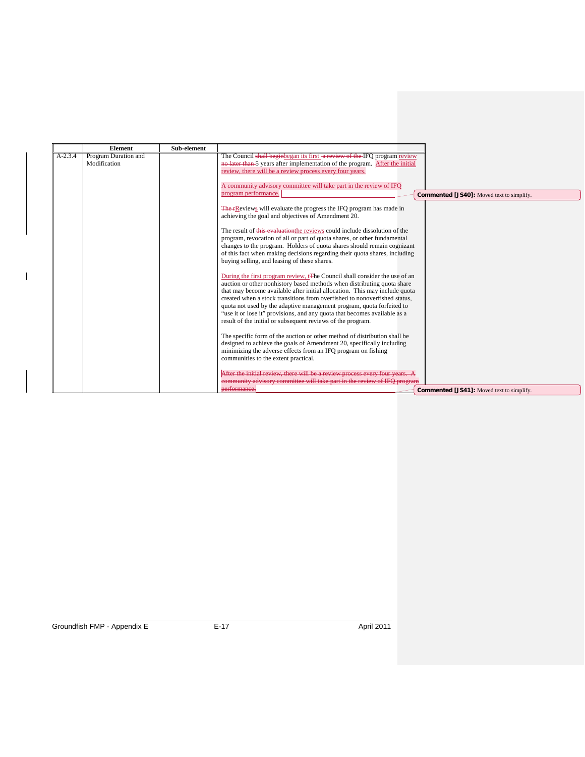|           | <b>Element</b>                       | Sub-element |                                                                                                                                                                                                                                                                                                                                                                                                                                                          |                                                  |
|-----------|--------------------------------------|-------------|----------------------------------------------------------------------------------------------------------------------------------------------------------------------------------------------------------------------------------------------------------------------------------------------------------------------------------------------------------------------------------------------------------------------------------------------------------|--------------------------------------------------|
| $A-2.3.4$ | Program Duration and<br>Modification |             | The Council shall beginbegan its first a review of the IFO program review<br>no later than 5 years after implementation of the program. After the initial                                                                                                                                                                                                                                                                                                |                                                  |
|           |                                      |             | review, there will be a review process every four years.<br>A community advisory committee will take part in the review of IFQ<br>program performance.<br>The FR eviews will evaluate the progress the IFO program has made in<br>achieving the goal and objectives of Amendment 20.<br>The result of this evaluation the reviews could include dissolution of the<br>program, revocation of all or part of quota shares, or other fundamental           | <b>Commented [JS40]:</b> Moved text to simplify. |
|           |                                      |             | changes to the program. Holders of quota shares should remain cognizant<br>of this fact when making decisions regarding their quota shares, including<br>buying selling, and leasing of these shares.<br>During the first program review, t <sub>The</sub> Council shall consider the use of an<br>auction or other nonhistory based methods when distributing quota share<br>that may become available after initial allocation. This may include quota |                                                  |
|           |                                      |             | created when a stock transitions from overfished to nonoverfished status,<br>quota not used by the adaptive management program, quota forfeited to<br>"use it or lose it" provisions, and any quota that becomes available as a<br>result of the initial or subsequent reviews of the program.<br>The specific form of the auction or other method of distribution shall be                                                                              |                                                  |
|           |                                      |             | designed to achieve the goals of Amendment 20, specifically including<br>minimizing the adverse effects from an IFQ program on fishing<br>communities to the extent practical.<br>After the initial review, there will be a review process every four years. A<br>community advisory committee will take part in the review of IFO program                                                                                                               |                                                  |
|           |                                      |             | performance.                                                                                                                                                                                                                                                                                                                                                                                                                                             | <b>Commented [JS41]:</b> Moved text to simplify. |

 $\mathbf{l}$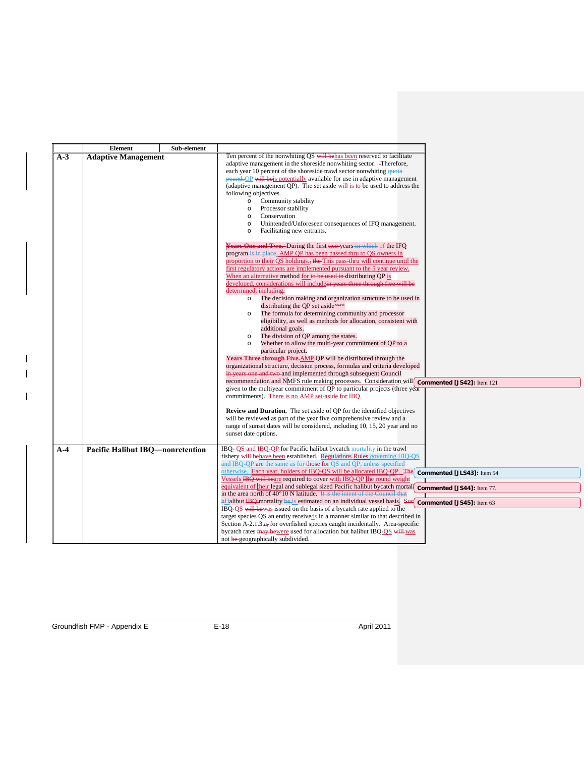|       | <b>Element</b><br>Sub-element            |                                                                                                  |                            |
|-------|------------------------------------------|--------------------------------------------------------------------------------------------------|----------------------------|
| $A-3$ | <b>Adaptive Management</b>               | Ten percent of the nonwhiting QS will behas been reserved to facilitate                          |                            |
|       |                                          | adaptive management in the shoreside nonwhiting sector. -Therefore,                              |                            |
|       |                                          | each year 10 percent of the shoreside trawl sector nonwhiting quota                              |                            |
|       |                                          | pounds OP will be is potentially available for use in adaptive management                        |                            |
|       |                                          | (adaptive management QP). The set aside $\frac{1}{w}$ is to be used to address the               |                            |
|       |                                          | following objectives.                                                                            |                            |
|       |                                          | Community stability<br>$\circ$                                                                   |                            |
|       |                                          | Processor stability<br>$\circ$                                                                   |                            |
|       |                                          | Conservation<br>$\circ$                                                                          |                            |
|       |                                          | Unintended/Unforeseen consequences of IFO management.<br>$\circ$                                 |                            |
|       |                                          | Facilitating new entrants.<br>$\circ$                                                            |                            |
|       |                                          | Years One and Two. During the first two-years in which of the IFQ                                |                            |
|       |                                          | program is in place, AMP QP has been passed thru to QS owners in                                 |                            |
|       |                                          | proportion to their QS holdings., the This pass-thru will continue until the                     |                            |
|       |                                          | first regulatory actions are implemented pursuant to the 5 year review.                          |                            |
|       |                                          | When an alternative method for to be used in distributing QP is                                  |                            |
|       |                                          | developed, considerations will include <del>in years three through five will be</del>            |                            |
|       |                                          | determined, including.                                                                           |                            |
|       |                                          | The decision making and organization structure to be used in<br>$\circ$                          |                            |
|       |                                          | distributing the QP set aside <sup>xxxvi</sup>                                                   |                            |
|       |                                          | The formula for determining community and processor<br>$\circ$                                   |                            |
|       |                                          | eligibility, as well as methods for allocation, consistent with                                  |                            |
|       |                                          | additional goals.                                                                                |                            |
|       |                                          | The division of QP among the states.                                                             |                            |
|       |                                          | Whether to allow the multi-year commitment of QP to a<br>$\circ$                                 |                            |
|       |                                          | particular project.                                                                              |                            |
|       |                                          | Years Three through Five.AMP QP will be distributed through the                                  |                            |
|       |                                          | organizational structure, decision process, formulas and criteria developed                      |                            |
|       |                                          | in years one and two and implemented through subsequent Council                                  |                            |
|       |                                          | recommendation and NMFS rule making processes. Consideration will                                | Commented [JS42]: Item 121 |
|       |                                          | given to the multiyear commitment of QP to particular projects (three year                       |                            |
|       |                                          | commitments). There is no AMP set-aside for IBQ.                                                 |                            |
|       |                                          |                                                                                                  |                            |
|       |                                          | <b>Review and Duration.</b> The set aside of QP for the identified objectives                    |                            |
|       |                                          | will be reviewed as part of the year five comprehensive review and a                             |                            |
|       |                                          | range of sunset dates will be considered, including 10, 15, 20 year and no                       |                            |
|       |                                          | sunset date options.                                                                             |                            |
| $A-4$ | <b>Pacific Halibut IBQ</b> —nonretention | IBQ-OS and IBQ-OP for Pacific halibut bycatch mortality in the trawl                             |                            |
|       |                                          | fishery will behave been established. Regulations Rules governing IBO-OS                         |                            |
|       |                                          | and IBQ-QP are the same as for those for QS and QP, unless specified                             |                            |
|       |                                          | otherwise. Each year, holders of IBQ-QS will be allocated IBQ-QP. The commented [JLS43]: Item 54 |                            |
|       |                                          | Vessels IBQ will beare required to cover with IBQ-QP the round weight                            |                            |
|       |                                          | equivalent of their legal and sublegal sized Pacific halibut bycatch mortal                      | Commented [JS44]: Item 77. |
|       |                                          | in the area north of 40°10 N latitude. It is the intent of the Council that                      |                            |
|       |                                          | <b>hHalibut IBQ</b> mortality be is estimated on an individual vessel basis. Sue                 | Commented [JS45]: Item 63  |
|       |                                          | IBQ-QS will be was issued on the basis of a bycatch rate applied to the                          |                            |
|       |                                          | target species QS an entity receiveds in a manner similar to that described in                   |                            |
|       |                                          | Section A-2.1.3.a, for overfished species caught incidentally. Area-specific                     |                            |
|       |                                          | bycatch rates may be were used for allocation but halibut IBQ-QS will was                        |                            |
|       |                                          | not be geographically subdivided.                                                                |                            |

<span id="page-20-0"></span> $\overline{\phantom{a}}$  $\overline{\phantom{a}}$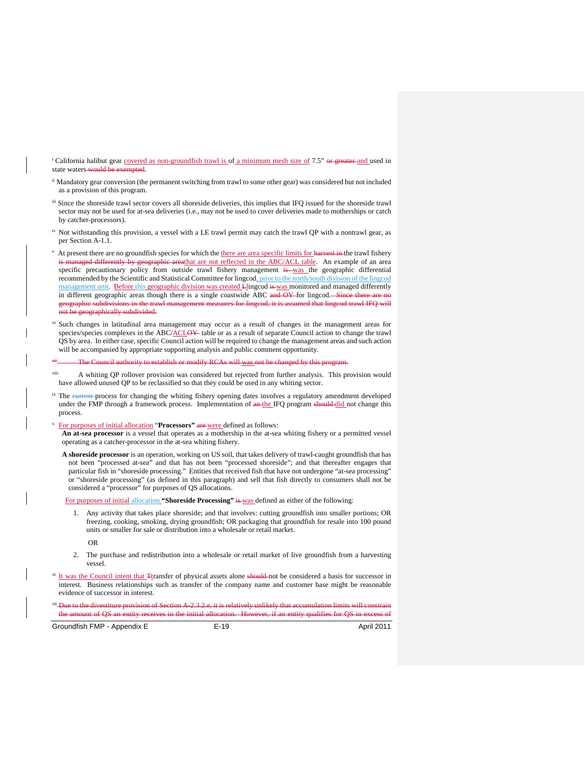<span id="page-21-2"></span><span id="page-21-1"></span><span id="page-21-0"></span><sup>i</sup> California halibut gear covered as non-groundfish trawl is of a minimum mesh size of 7.5" or greater and used in state waters would be exempted.

- <span id="page-21-3"></span>ii Mandatory gear conversion (the permanent switching from trawl to some other gear) was considered but not included as a provision of this program.
- <span id="page-21-4"></span>iii Since the shoreside trawl sector covers all shoreside deliveries, this implies that IFQ issued for the shoreside trawl sector may not be used for at-sea deliveries (i.e., may not be used to cover deliveries made to motherships or catch by catcher-processors).
- <sup>iv</sup> Not withstanding this provision, a vessel with a LE trawl permit may catch the trawl QP with a nontrawl gear, as per Section A-1.1.
- v At present there are no groundfish species for which the there are area specific limits for harvest in the trawl fishery geographic areathat are not reflected in the ABC/ACL table. An example of an area specific precautionary policy from outside trawl fishery management is was the geographic differential recommended by the Scientific and Statistical Committee for lingcod, prior to the north/south division of the lingcod management unit. Before this geographic division was created Llingcod is was monitored and managed differently in different geographic areas though there is a single coastwide ABC and OY for lingcod. Since there are no graphic subdivisions in the trawl management measures for lingcod, it is assumed that lingcod trawl IFQ will not be geographically subdivided.
- <span id="page-21-5"></span>vi Such changes in latitudinal area management may occur as a result of changes in the management areas for species/species complexes in the ABC/ACLOY table or as a result of separate Council action to change the trawl QS by area. In either case, specific Council action will be required to change the management areas and such action will be accompanied by appropriate supporting analysis and public comment opportunity.

#### <sup>vii</sup> The Council authority to establish or modify RCAs will was not be changed by this program.

<sup>viii</sup> A whiting QP rollover provision was considered but rejected from further analysis. This provision would have allowed unused QP to be reclassified so that they could be used in any whiting sector.

- <sup>ix</sup> The current process for changing the whiting fishery opening dates involves a regulatory amendment developed under the FMP through a framework process. Implementation of an the IFQ program should did not change this process.
- <sup>x</sup> For purposes of initial allocation "**Processors"** are were defined as follows:

**An at-sea processor** is a vessel that operates as a mothership in the at-sea whiting fishery or a permitted vessel operating as a catcher-processor in the at-sea whiting fishery.

**A shoreside processor** is an operation, working on US soil, that takes delivery of trawl-caught groundfish that has not been "processed at-sea" and that has not been "processed shoreside"; and that thereafter engages that particular fish in "shoreside processing." Entities that received fish that have not undergone "at-sea processing" or "shoreside processing" (as defined in this paragraph) and sell that fish directly to consumers shall not be considered a "processor" for purposes of QS allocations.

For purposes of initial allocation **"Shoreside Processing"** is was defined as either of the following:

1. Any activity that takes place shoreside; and that involves: cutting groundfish into smaller portions; OR freezing, cooking, smoking, drying groundfish; OR packaging that groundfish for resale into 100 pound units or smaller for sale or distribution into a wholesale or retail market.

OR

- 2. The purchase and redistribution into a wholesale or retail market of live groundfish from a harvesting vessel.
- <sup>xi</sup> It was the Council intent that <del>T</del>transfer of physical assets alone should not be considered a basis for successor in interest. Business relationships such as transfer of the company name and customer base might be reasonable evidence of successor in interest.

to the divestiture provision of Section A-2.3.2.e, it is relatively unlikely that accumulation limits the amount of QS an entity receives in the initial allocation. However, if an entity qualifies for QS in excess of

Groundfish FMP - Appendix E E-19 E-19 **E-19** April 2011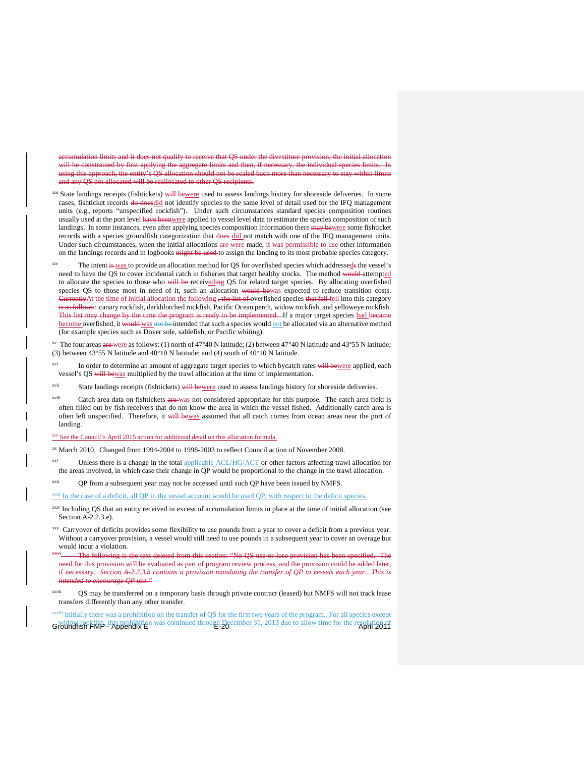nulation limits and it does not qualify to receive that OS under the divestiture will be constrained by first applying the aggregate limits and then, if necessary, the individual species limits. In using this approach, the entity's QS allocation should not be scaled back and any QS not allocated will be reallocated to other QS recipients.

<sup>xiii</sup> State landings receipts (fishtickets) will bewere used to assess landings history for shoreside deliveries. In some cases, fishticket records do doesdid not identify species to the same level of detail used for the IFQ management units (e.g., reports "unspecified rockfish"). Under such circumstances standard species composition routines usually used at the port level have beenwere applied to vessel level data to estimate the species composition of such landings. In some instances, even after applying species composition information there may bewere some fishticket records with a species groundfish categorization that does-did not match with one of the IFQ management units. Under such circumstances, when the initial allocations are were made, it was permissible to use other information on the landings records and in logbooks might be used to assign the landing to its most probable species category.

The intent is was to provide an allocation method for QS for overfished species which addresseds the vessel's need to have the QS to cover incidental catch in fisheries that target healthy stocks. The method would attempted to allocate the species to those who will be receiveding QS for related target species. By allocating overfished species QS to those most in need of it, such an allocation would bewas expected to reduce transition costs. CurrentlyAt the time of initial allocation the following , the list of overfished species that fall fell into this category is as follows: canary rockfish, darkblotched rockfish, Pacific Ocean perch, widow rockfish, and yelloweye rockfish. This list may change by the time the program is ready to be implemented. If a major target species had became become overfished, it would was not be intended that such a species would not be allocated via an alternative method (for example species such as Dover sole, sablefish, or Pacific whiting).

<sup>xv</sup> The four areas are were as follows: (1) north of 47°40 N latitude; (2) between 47°40 N latitude and 43°55 N latitude; (3) between 43°55 N latitude and 40°10 N latitude; and (4) south of 40°10 N latitude.

<span id="page-22-1"></span><span id="page-22-0"></span><sup>xvi</sup> In order to determine an amount of aggregate target species to which bycatch rates will bewere applied, each vessel's QS will bewas multiplied by the trawl allocation at the time of implementation.

xvii State landings receipts (fishtickets) will bewere used to assess landings history for shoreside deliveries.

<span id="page-22-2"></span>xviii Catch area data on fishtickets are was not considered appropriate for this purpose. The catch area field is often filled out by fish receivers that do not know the area in which the vessel fished. Additionally catch area is often left unspecified. Therefore, it will bewas assumed that all catch comes from ocean areas near the port of landing.

xix See the Council's April 2015 action for additional detail on this allocation formula.

xx March 2010. Changed from 1994-2004 to 1998-2003 to reflect Council action of November 2008.

xxi Unless there is a change in the total applicable ACL/HG/ACT or other factors affecting trawl allocation for the areas involved, in which case their change in QP would be proportional to the change in the trawl allocation.

xxii QP from a subsequent year may not be accessed until such QP have been issued by NMFS.

 $\frac{x\pi i}{x}$  In the case of a deficit, all QP in the vessel account would be used QP, with respect to the deficit species.

xxv Carryover of deficits provides some flexibility to use pounds from a year to cover a deficit from a previous year. Without a carryover provision, a vessel would still need to use pounds in a subsequent year to cover an overage but would incur a violation.

The following is the text deleted from this section: "No  $OS$  use or lose need for this provision will be evaluated as part of program review process, and the provision could be added later, **Section A-2.2.3.b contains a provision mandating the transfer of QP to vessels each year. This is** *intended to encourage QP use."*

xxvii QS may be transferred on a temporary basis through private contract (leased) but NMFS will not track lease transfers differently than any other transfer.

Groundfish FMP - Appendix E<br>Groundfish FMP - Appendix E<br>E-20 iii Initially there was a prohibition on the transfer of QS for the first two years of the program. For all species except

xxiv Including QS that an entity received in excess of accumulation limits in place at the time of initial allocation (see Section A-2.2.3.e).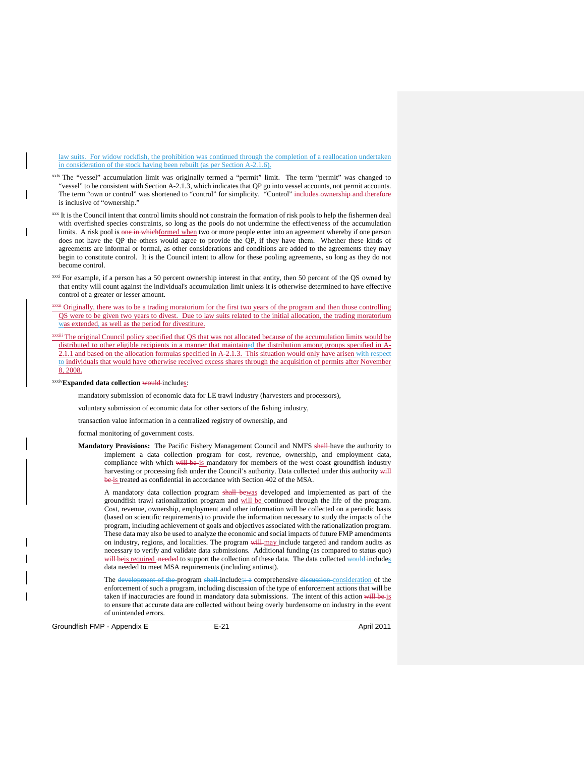law suits. For widow rockfish, the prohibition was continued through the completion of a reallocation undertaken in consideration of the stock having been rebuilt (as per Section A-2.1.6).

xxix The "vessel" accumulation limit was originally termed a "permit" limit. The term "permit" was changed to "vessel" to be consistent with Section A-2.1.3, which indicates that QP go into vessel accounts, not permit accounts. The term "own or control" was shortened to "control" for simplicity. "Control" includes ownership and there is inclusive of "ownership."

xxx It is the Council intent that control limits should not constrain the formation of risk pools to help the fishermen deal with overfished species constraints, so long as the pools do not undermine the effectiveness of the accumulation limits. A risk pool is one in whichformed when two or more people enter into an agreement whereby if one person does not have the QP the others would agree to provide the QP, if they have them. Whether these kinds of agreements are informal or formal, as other considerations and conditions are added to the agreements they may begin to constitute control. It is the Council intent to allow for these pooling agreements, so long as they do not become control.

 $x<sub>xxxi</sub>$  For example, if a person has a 50 percent ownership interest in that entity, then 50 percent of the QS owned by that entity will count against the individual's accumulation limit unless it is otherwise determined to have effective control of a greater or lesser amount.

xxxii Originally, there was to be a trading moratorium for the first two years of the program and then those controlling QS were to be given two years to divest. Due to law suits related to the initial allocation, the trading moratorium was extended, as well as the period for divestiture.

xxiii The original Council policy specified that QS that was not allocated because of the accumulation limits would be distributed to other eligible recipients in a manner that maintained the distribution among groups specified in A-2.1.1 and based on the allocation formulas specified in A-2.1.3. This situation would only have arisen with respect to individuals that would have otherwise received excess shares through the acquisition of permits after November 8, 2008.

<span id="page-23-0"></span>xxxiv**Expanded data collection** would includes:

mandatory submission of economic data for LE trawl industry (harvesters and processors),

voluntary submission of economic data for other sectors of the fishing industry,

transaction value information in a centralized registry of ownership, and

formal monitoring of government costs.

**Mandatory Provisions:** The Pacific Fishery Management Council and NMFS shall have the authority to implement a data collection program for cost, revenue, ownership, and employment data, compliance with which will be is mandatory for members of the west coast groundfish industry harvesting or processing fish under the Council's authority. Data collected under this authority will be is treated as confidential in accordance with Section 402 of the MSA.

A mandatory data collection program shall bewas developed and implemented as part of the groundfish trawl rationalization program and will be continued through the life of the program. Cost, revenue, ownership, employment and other information will be collected on a periodic basis (based on scientific requirements) to provide the information necessary to study the impacts of the program, including achievement of goals and objectives associated with the rationalization program. These data may also be used to analyze the economic and social impacts of future FMP amendments on industry, regions, and localities. The program will may include targeted and random audits as necessary to verify and validate data submissions. Additional funding (as compared to status quo) will beis required needed to support the collection of these data. The data collected would includes data needed to meet MSA requirements (including antirust).

The development of the program shall-includes: a comprehensive discussion consideration of the enforcement of such a program, including discussion of the type of enforcement actions that will be taken if inaccuracies are found in mandatory data submissions. The intent of this action will be is to ensure that accurate data are collected without being overly burdensome on industry in the event of unintended errors.

<span id="page-23-1"></span>Groundfish FMP - Appendix E E-21 E-21 April 2011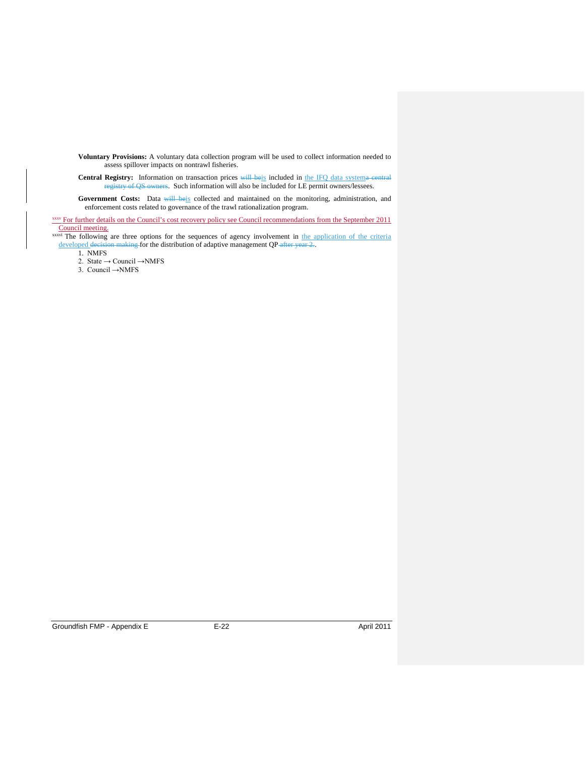<span id="page-24-1"></span>**Voluntary Provisions:** A voluntary data collection program will be used to collect information needed to assess spillover impacts on nontrawl fisheries.

Central Registry: Information on transaction prices will beis included in the IFQ data systema central registry of QS owners. Such information will also be included for LE permit owners/lessees.

Government Costs: Data will beis collected and maintained on the monitoring, administration, and enforcement costs related to governance of the trawl rationalization program.

<span id="page-24-2"></span>xxxv For further details on the Council's cost recovery policy see Council recommendations from the September 2011 Council meeting.

<sup>xxxvi</sup> The following are three options for the sequences of agency involvement in the application of the criteria developed decision making for the distribution of adaptive management QP after year 2.

1. NMFS

2. State  $\rightarrow$  Council  $\rightarrow$  NMFS

<span id="page-24-7"></span><span id="page-24-6"></span><span id="page-24-5"></span><span id="page-24-4"></span><span id="page-24-3"></span><span id="page-24-0"></span>3. Council →NMFS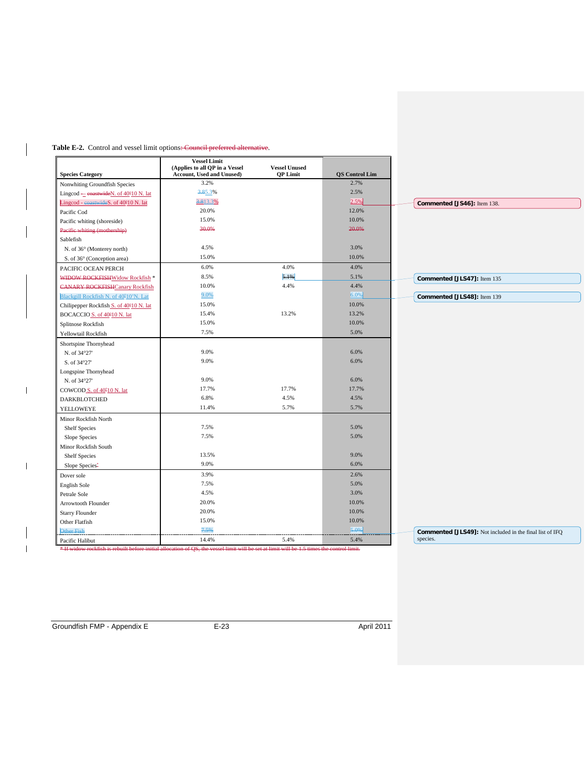# Table E-2. Control and vessel limit options: Council preferred alternative.

|                                                                                                                                            | <b>Vessel Limit</b>                                                |                                         |                       |
|--------------------------------------------------------------------------------------------------------------------------------------------|--------------------------------------------------------------------|-----------------------------------------|-----------------------|
| <b>Species Category</b>                                                                                                                    | (Applies to all QP in a Vessel<br><b>Account, Used and Unused)</b> | <b>Vessel Unused</b><br><b>OP Limit</b> | <b>OS Control Lim</b> |
| Nonwhiting Groundfish Species                                                                                                              | 3.2%                                                               |                                         | 2.7%                  |
| Lingcod — coastwideN. of 40°10 N. lat                                                                                                      | 3.85.3%                                                            |                                         | 2.5%                  |
| Lingcod - coastwideS. of 40°10 N. lat                                                                                                      | 3.813.3%                                                           |                                         | 2.5%                  |
| Pacific Cod                                                                                                                                | 20.0%                                                              |                                         | 12.0%                 |
| Pacific whiting (shoreside)                                                                                                                | 15.0%                                                              |                                         | 10.0%                 |
| Pacific whiting (mothership)                                                                                                               | 30.0%                                                              |                                         | 20.0%                 |
| Sablefish                                                                                                                                  |                                                                    |                                         |                       |
| N. of 36° (Monterey north)                                                                                                                 | 4.5%                                                               |                                         | 3.0%                  |
| S. of 36° (Conception area)                                                                                                                | 15.0%                                                              |                                         | 10.0%                 |
| PACIFIC OCEAN PERCH                                                                                                                        | 6.0%                                                               | 4.0%                                    | 4.0%                  |
| WIDOW ROCKFISHWidow Rockfish *                                                                                                             | 8.5%                                                               | 5.1%                                    | 5.1%                  |
| <b>CANARY ROCKFISHCanary Rockfish</b>                                                                                                      | 10.0%                                                              | 4.4%                                    | 4.4%                  |
| Blackgill Rockfish N. of 40°10'N. Lat                                                                                                      | 9.0%                                                               |                                         | 6.0%                  |
| Chilipepper Rockfish S. of 40°10 N. lat                                                                                                    | 15.0%                                                              |                                         | 10.0%                 |
| BOCACCIO S. of 40°10 N. lat                                                                                                                | 15.4%                                                              | 13.2%                                   | 13.2%                 |
| Splitnose Rockfish                                                                                                                         | 15.0%                                                              |                                         | 10.0%                 |
| Yellowtail Rockfish                                                                                                                        | 7.5%                                                               |                                         | 5.0%                  |
|                                                                                                                                            |                                                                    |                                         |                       |
| Shortspine Thornyhead                                                                                                                      | 9.0%                                                               |                                         | 6.0%                  |
| N. of 34°27'                                                                                                                               | 9.0%                                                               |                                         | 6.0%                  |
| S. of 34°27'                                                                                                                               |                                                                    |                                         |                       |
| Longspine Thornyhead                                                                                                                       |                                                                    |                                         |                       |
| N. of 34°27'                                                                                                                               | 9.0%                                                               |                                         | 6.0%                  |
| COWCOD S. of 40º10 N. lat                                                                                                                  | 17.7%                                                              | 17.7%                                   | 17.7%                 |
| <b>DARKBLOTCHED</b>                                                                                                                        | 6.8%                                                               | 4.5%                                    | 4.5%                  |
| YELLOWEYE                                                                                                                                  | 11.4%                                                              | 5.7%                                    | 5.7%                  |
| Minor Rockfish North                                                                                                                       |                                                                    |                                         |                       |
| <b>Shelf Species</b>                                                                                                                       | 7.5%                                                               |                                         | 5.0%                  |
| Slope Species                                                                                                                              | 7.5%                                                               |                                         | 5.0%                  |
| Minor Rockfish South                                                                                                                       |                                                                    |                                         |                       |
| <b>Shelf Species</b>                                                                                                                       | 13.5%                                                              |                                         | 9.0%                  |
| Slope Species-                                                                                                                             | 9.0%                                                               |                                         | 6.0%                  |
| Dover sole                                                                                                                                 | 3.9%                                                               |                                         | 2.6%                  |
| English Sole                                                                                                                               | 7.5%                                                               |                                         | 5.0%                  |
| Petrale Sole                                                                                                                               | 4.5%                                                               |                                         | 3.0%                  |
| Arrowtooth Flounder                                                                                                                        | 20.0%                                                              |                                         | 10.0%                 |
| <b>Starry Flounder</b>                                                                                                                     | 20.0%                                                              |                                         | 10.0%                 |
| Other Flatfish                                                                                                                             | 15.0%                                                              |                                         | 10.0%                 |
| Other Fish                                                                                                                                 | 7.5%                                                               |                                         | 5.0%                  |
| Pacific Halibut                                                                                                                            | 14.4%                                                              | 5.4%                                    | 5.4%                  |
| * If widow rockfish is rebuilt before initial allocation of QS, the vessel limit will be set at limit will be 1.5 times the control limit. |                                                                    |                                         |                       |

 $\overline{\phantom{a}}$ 

<span id="page-25-1"></span><span id="page-25-0"></span> $\mathbf I$ 

<span id="page-25-3"></span><span id="page-25-2"></span> $\overline{1}$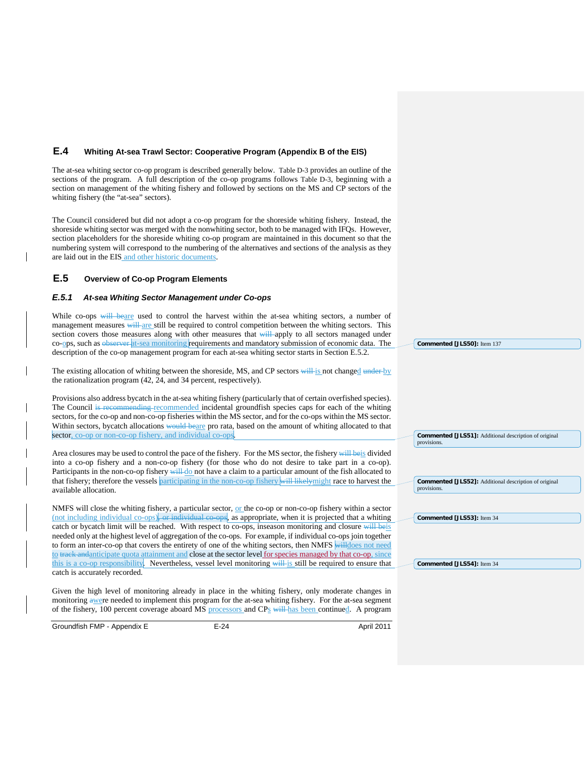# <span id="page-26-0"></span>**E.4 Whiting At-sea Trawl Sector: Cooperative Program (Appendix B of the EIS)**

The at-sea whiting sector co-op program is described generally below. [Table D-3](#page-28-3) provides an outline of the sections of the program. A full description of the co-op programs follows [Table D-3,](#page-28-3) beginning with a section on management of the whiting fishery and followed by sections on the MS and CP sectors of the whiting fishery (the "at-sea" sectors).

The Council considered but did not adopt a co-op program for the shoreside whiting fishery. Instead, the shoreside whiting sector was merged with the nonwhiting sector, both to be managed with IFQs. However, section placeholders for the shoreside whiting co-op program are maintained in this document so that the numbering system will correspond to the numbering of the alternatives and sections of the analysis as they are laid out in the EIS and other historic documents.

# <span id="page-26-1"></span>**E.5 Overview of Co-op Program Elements**

#### <span id="page-26-2"></span>*E.5.1 At-sea Whiting Sector Management under Co-ops*

While co-ops will beare used to control the harvest within the at-sea whiting sectors, a number of management measures will are still be required to control competition between the whiting sectors. This section covers those measures along with other measures that will apply to all sectors managed under co-ops, such as observer at-sea monitoring requirements and mandatory submission of economic data. The description of the co-op management program for each at-sea whiting sector starts in Section [E.5.2.](#page-27-0)

The existing allocation of whiting between the shoreside, MS, and CP sectors will is not changed under by the rationalization program (42, 24, and 34 percent, respectively).

Provisions also address bycatch in the at-sea whiting fishery (particularly that of certain overfished species). The Council is recommending recommended incidental groundfish species caps for each of the whiting sectors, for the co-op and non-co-op fisheries within the MS sector, and for the co-ops within the MS sector. Within sectors, bycatch allocations would beare pro rata, based on the amount of whiting allocated to that sector, co-op or non-co-op fishery, and individual co-ops.

Area closures may be used to control the pace of the fishery. For the MS sector, the fishery will beis divided into a co-op fishery and a non-co-op fishery (for those who do not desire to take part in a co-op). Participants in the non-co-op fishery will do not have a claim to a particular amount of the fish allocated to that fishery; therefore the vessels **participating in the non-co-op fishery** will likely might race to harvest the available allocation.

<span id="page-26-3"></span>NMFS will close the whiting fishery, a particular sector, or the co-op or non-co-op fishery within a sector (not including individual co-ops), or individual co-ops, as appropriate, when it is projected that a whiting catch or bycatch limit will be reached. With respect to co-ops, inseason monitoring and closure will beis needed only at the highest level of aggregation of the co-ops. For example, if individual co-ops join together to form an inter-co-op that covers the entirety of one of the whiting sectors, then NMFS willdoes not need to track and anticipate quota attainment and close at the sector level for species managed by that co-op, since this is a co-op responsibility. Nevertheless, vessel level monitoring will is still be required to ensure that catch is accurately recorded.

<span id="page-26-4"></span>Given the high level of monitoring already in place in the whiting fishery, only moderate changes in monitoring awere needed to implement this program for the at-sea whiting fishery. For the at-sea segment of the fishery, 100 percent coverage aboard MS processors and CPs will has been continued. A program

<span id="page-26-5"></span>Groundfish FMP - Appendix E E-24 E-24 April 2011

**Commented [JLS50]:** Item 137

provisions.

provisions.

**Commented [JLS53]:** Item 34

**Commented [JLS54]:** Item 34

**Commented [JLS51]:** Additional description of original

**Commented [JLS52]:** Additional description of original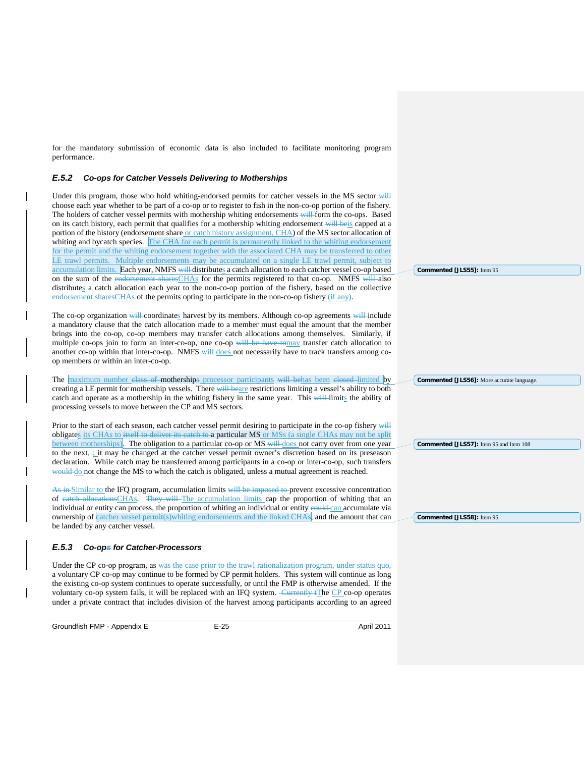<span id="page-27-5"></span><span id="page-27-4"></span>for the mandatory submission of economic data is also included to facilitate monitoring program performance.

# <span id="page-27-0"></span>*E.5.2 Co-ops for Catcher Vessels Delivering to Motherships*

<span id="page-27-6"></span>Under this program, those who hold whiting-endorsed permits for catcher vessels in the MS sector will choose each year whether to be part of a co-op or to register to fish in the non-co-op portion of the fishery. The holders of catcher vessel permits with mothership whiting endorsements will form the co-ops. Based on its catch history, each permit that qualifies for a mothership whiting endorsement will beis capped at a portion of the history (endorsement share or catch history assignment, CHA) of the MS sector allocation of whiting and bycatch species. The CHA for each permit is permanently linked to the whiting endorsement for the permit and the whiting endorsement together with the associated CHA may be transferred to other LE trawl permits. Multiple endorsements may be accumulated on a single LE trawl permit, subject to accumulation limits. Each year, NMFS will distributes a catch allocation to each catcher vessel co-op based on the sum of the endorsement sharesCHAs for the permits registered to that co-op. NMFS will also distributes a catch allocation each year to the non-co-op portion of the fishery, based on the collective endorsement sharesCHAs of the permits opting to participate in the non-co-op fishery (if any).

The co-op organization will coordinates harvest by its members. Although co-op agreements will include a mandatory clause that the catch allocation made to a member must equal the amount that the member brings into the co-op, co-op members may transfer catch allocations among themselves. Similarly, if multiple co-ops join to form an inter-co-op, one co-op will be have tomay transfer catch allocation to another co-op within that inter-co-op. NMFS will does not necessarily have to track transfers among coop members or within an inter-co-op.

The maximum number elass of motherships processor participants will behas been elosed limited by creating a LE permit for mothership vessels. There will beare restrictions limiting a vessel's ability to both catch and operate as a mothership in the whiting fishery in the same year. This will limits the ability of processing vessels to move between the CP and MS sectors.

Prior to the start of each season, each catcher vessel permit desiring to participate in the co-op fishery will obligates its CHAs to itself to deliver its eatch to a particular MS or MSs (a single CHAs may not be split between motherships). The obligation to a particular co-op or MS will does not carry over from one year to the next, it may be changed at the catcher vessel permit owner's discretion based on its preseason declaration. While catch may be transferred among participants in a co-op or inter-co-op, such transfers would do not change the MS to which the catch is obligated, unless a mutual agreement is reached.

As in Similar to the IFQ program, accumulation limits will be imposed to prevent excessive concentration of eatch allocationsCHAs. They will The accumulation limits cap the proportion of whiting that an individual or entity can process, the proportion of whiting an individual or entity eould can accumulate via ownership of eatcher vessel permit(s)whiting endorsements and the linked CHAs, and the amount that can be landed by any catcher vessel.

# <span id="page-27-1"></span>*E.5.3 Co-ops for Catcher-Processors*

Under the CP co-op program, as was the case prior to the trawl rationalization program, under status quo, a voluntary CP co-op may continue to be formed by CP permit holders. This system will continue as long the existing co-op system continues to operate successfully, or until the FMP is otherwise amended. If the voluntary co-op system fails, it will be replaced with an IFQ system. Currently tThe CP co-op operates under a private contract that includes division of the harvest among participants according to an agreed

<span id="page-27-3"></span><span id="page-27-2"></span>Groundfish FMP - Appendix E E-25 E-25 April 2011

**Commented [JLS55]:** Item 95

**Commented [JLS56]:** More accurate language.

**Commented [JLS57]:** Item 95 and Item 108

**Commented [JLS58]:** Item 95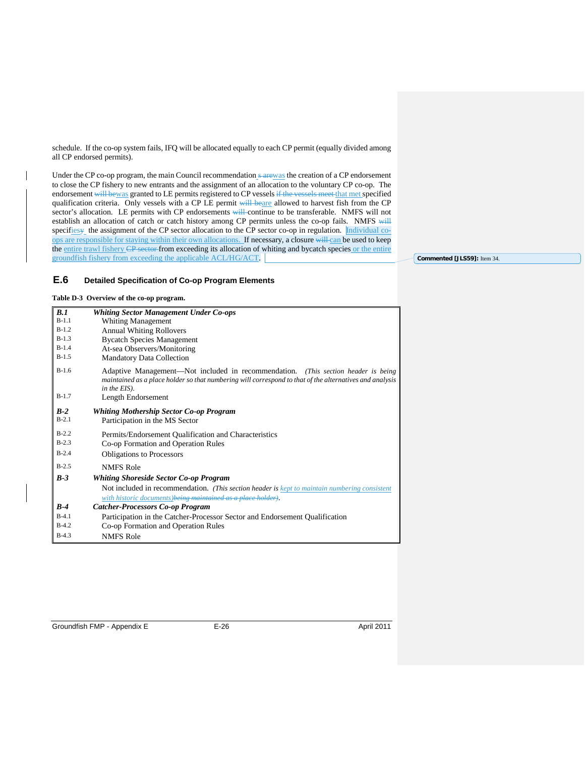schedule. If the co-op system fails, IFQ will be allocated equally to each CP permit (equally divided among all CP endorsed permits).

Under the CP co-op program, the main Council recommendation s arewas the creation of a CP endorsement to close the CP fishery to new entrants and the assignment of an allocation to the voluntary CP co-op. The endorsement will bewas granted to LE permits registered to CP vessels if the vessels meet that met specified qualification criteria. Only vessels with a CP LE permit will beare allowed to harvest fish from the CP sector's allocation. LE permits with CP endorsements will continue to be transferable. NMFS will not establish an allocation of catch or catch history among CP permits unless the co-op fails. NMFS will specifiesy the assignment of the CP sector allocation to the CP sector co-op in regulation. Individual coops are responsible for staying within their own allocations. If necessary, a closure will can be used to keep the entire trawl fishery CP sector from exceeding its allocation of whiting and bycatch species or the entire groundfish fishery from exceeding the applicable ACL/HG/ACT.

**Commented [JLS59]:** Item 34.

# <span id="page-28-1"></span><span id="page-28-0"></span>**E.6 Detailed Specification of Co-op Program Elements**

<span id="page-28-3"></span>**Table D-3 Overview of the co-op program.**

<span id="page-28-2"></span>

| B.1     | <b>Whiting Sector Management Under Co-ops</b>                                                                                                                                                                |
|---------|--------------------------------------------------------------------------------------------------------------------------------------------------------------------------------------------------------------|
| $B-1.1$ | <b>Whiting Management</b>                                                                                                                                                                                    |
| $B-1.2$ | <b>Annual Whiting Rollovers</b>                                                                                                                                                                              |
| $B-1.3$ | <b>Bycatch Species Management</b>                                                                                                                                                                            |
| $B-1.4$ | At-sea Observers/Monitoring                                                                                                                                                                                  |
| $B-1.5$ | <b>Mandatory Data Collection</b>                                                                                                                                                                             |
| $B-1.6$ | Adaptive Management—Not included in recommendation. (This section header is being<br>maintained as a place holder so that numbering will correspond to that of the alternatives and analysis<br>in the EIS). |
| $B-1.7$ | Length Endorsement                                                                                                                                                                                           |
| $B-2$   | Whiting Mothership Sector Co-op Program                                                                                                                                                                      |
| $B-2.1$ | Participation in the MS Sector                                                                                                                                                                               |
| $B-2.2$ | Permits/Endorsement Qualification and Characteristics                                                                                                                                                        |
| $B-2.3$ | Co-op Formation and Operation Rules                                                                                                                                                                          |
| $B-2.4$ | <b>Obligations to Processors</b>                                                                                                                                                                             |
| $B-2.5$ | <b>NMFS Role</b>                                                                                                                                                                                             |
| $B-3$   | <b>Whiting Shoreside Sector Co-op Program</b>                                                                                                                                                                |
|         | Not included in recommendation. (This section header is kept to maintain numbering consistent<br>with historic documents) being maintained as a place holder).                                               |
| $B-4$   | <b>Catcher-Processors Co-op Program</b>                                                                                                                                                                      |
| $B-4.1$ |                                                                                                                                                                                                              |
|         | Participation in the Catcher-Processor Sector and Endorsement Qualification                                                                                                                                  |
| $B-4.2$ | Co-op Formation and Operation Rules                                                                                                                                                                          |
| $B-4.3$ | <b>NMFS Role</b>                                                                                                                                                                                             |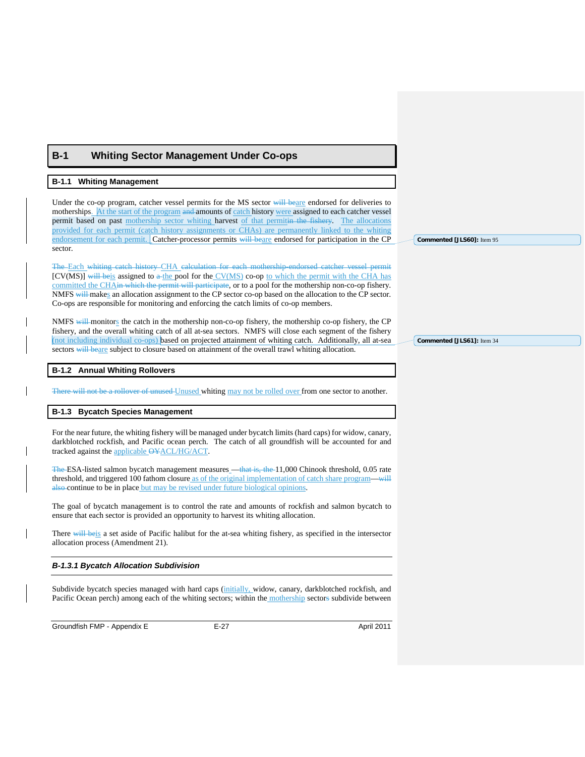# <span id="page-29-0"></span>**B-1 Whiting Sector Management Under Co-ops**

#### <span id="page-29-2"></span>**B-1.1 Whiting Management**

Under the co-op program, catcher vessel permits for the MS sector will beare endorsed for deliveries to motherships. At the start of the program and amounts of catch history were assigned to each catcher vessel permit based on past mothership sector whiting harvest of that permitin the fishery. The allocations provided for each permit (catch history assignments or CHAs) are permanently linked to the whiting endorsement for each permit. Catcher-processor permits will beare endorsed for participation in the CP sector.

The Each whiting catch history CHA calculation for each mothership-endorsed catcher vessel permit [CV(MS)] will beis assigned to  $\frac{a - b}{c}$  pool for the CV(MS) co-op to which the permit with the CHA has committed the CHAin which the permit will participate, or to a pool for the mothership non-co-op fishery. NMFS will makes an allocation assignment to the CP sector co-op based on the allocation to the CP sector. Co-ops are responsible for monitoring and enforcing the catch limits of co-op members.

NMFS will monitors the catch in the mothership non-co-op fishery, the mothership co-op fishery, the CP fishery, and the overall whiting catch of all at-sea sectors. NMFS will close each segment of the fishery (not including individual co-ops) based on projected attainment of whiting catch. Additionally, all at-sea sectors will beare subject to closure based on attainment of the overall trawl whiting allocation.

#### **B-1.2 Annual Whiting Rollovers**

<span id="page-29-1"></span>There will not be a rollover of unused Unused whiting may not be rolled over from one sector to another.

#### **B-1.3 Bycatch Species Management**

For the near future, the whiting fishery will be managed under bycatch limits (hard caps) for widow, canary, darkblotched rockfish, and Pacific ocean perch. The catch of all groundfish will be accounted for and tracked against the applicable OYACL/HG/ACT.

The ESA-listed salmon bycatch management measures —that is, the 11,000 Chinook threshold, 0.05 rate threshold, and triggered 100 fathom closure as of the original implementation of catch share program—will also continue to be in place but may be revised under future biological opinions.

The goal of bycatch management is to control the rate and amounts of rockfish and salmon bycatch to ensure that each sector is provided an opportunity to harvest its whiting allocation.

There will beis a set aside of Pacific halibut for the at-sea whiting fishery, as specified in the intersector allocation process (Amendment 21).

#### *B-1.3.1 Bycatch Allocation Subdivision*

Subdivide bycatch species managed with hard caps (initially, widow, canary, darkblotched rockfish, and Pacific Ocean perch) among each of the whiting sectors; within the mothership sectors subdivide between

Groundfish FMP - Appendix E E-27 E-27 April 2011

**Commented [JLS60]:** Item 95

**Commented [JLS61]:** Item 34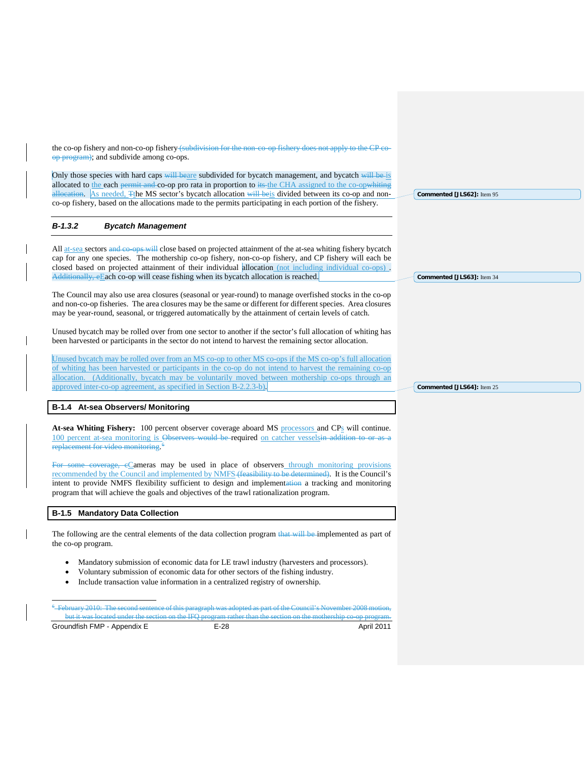the co-op fishery and non-co-op fishery (subdivision for the non-co-op fishery does not apply to the CP coop program); and subdivide among co-ops.

<span id="page-30-0"></span>Only those species with hard caps will beare subdivided for bycatch management, and bycatch will be is allocated to the each permit and co-op pro rata in proportion to its the CHA assigned to the co-opwhiting allocation. As needed, The MS sector's bycatch allocation will beis divided between its co-op and nonco-op fishery, based on the allocations made to the permits participating in each portion of the fishery.

#### *B-1.3.2 Bycatch Management*

All at-sea sectors and co-ops will close based on projected attainment of the at-sea whiting fishery bycatch cap for any one species. The mothership co-op fishery, non-co-op fishery, and CP fishery will each be closed based on projected attainment of their individual allocation (not including individual co-ops) . Additionally, eEach co-op will cease fishing when its bycatch allocation is reached.

The Council may also use area closures (seasonal or year-round) to manage overfished stocks in the co-op and non-co-op fisheries. The area closures may be the same or different for different species. Area closures may be year-round, seasonal, or triggered automatically by the attainment of certain levels of catch.

Unused bycatch may be rolled over from one sector to another if the sector's full allocation of whiting has been harvested or participants in the sector do not intend to harvest the remaining sector allocation.

Unused bycatch may be rolled over from an MS co-op to other MS co-ops if the MS co-op's full allocation of whiting has been harvested or participants in the co-op do not intend to harvest the remaining co-op allocation. (Additionally, bycatch may be voluntarily moved between mothership co-ops through an approved inter-co-op agreement, as specified in Section B-2.2.3-b).

# **B-1.4 At-sea Observers/ Monitoring**

At-sea Whiting Fishery: 100 percent observer coverage aboard MS processors and CP<sub>S</sub> will continue. 100 percent at-sea monitoring is Observers would be required on catcher vesselsin addition to or as a replacement for video monitoring.<sup>[6](#page-30-1)</sup>

For some coverage, eCameras may be used in place of observers through monitoring provisions recommended by the Council and implemented by NMFS (feasibility to be determined). It is the Council's intent to provide NMFS flexibility sufficient to design and implementation a tracking and monitoring program that will achieve the goals and objectives of the trawl rationalization program.

# **B-1.5 Mandatory Data Collection**

The following are the central elements of the data collection program that will be implemented as part of the co-op program.

- Mandatory submission of economic data for LE trawl industry (harvesters and processors).
- Voluntary submission of economic data for other sectors of the fishing industry.
- Include transaction value information in a centralized registry of ownership.

-<br>6 February 2010: The second sentence of this paragraph was adopted as part of the Council's November 2008 motion, but it was located under the section on the IFQ program rather than the section on the mothership co-op program.

<span id="page-30-1"></span>Groundfish FMP - Appendix E F-28 E-28 April 2011

**Commented [JLS62]:** Item 95

**Commented [JLS63]:** Item 34

**Commented [JLS64]:** Item 25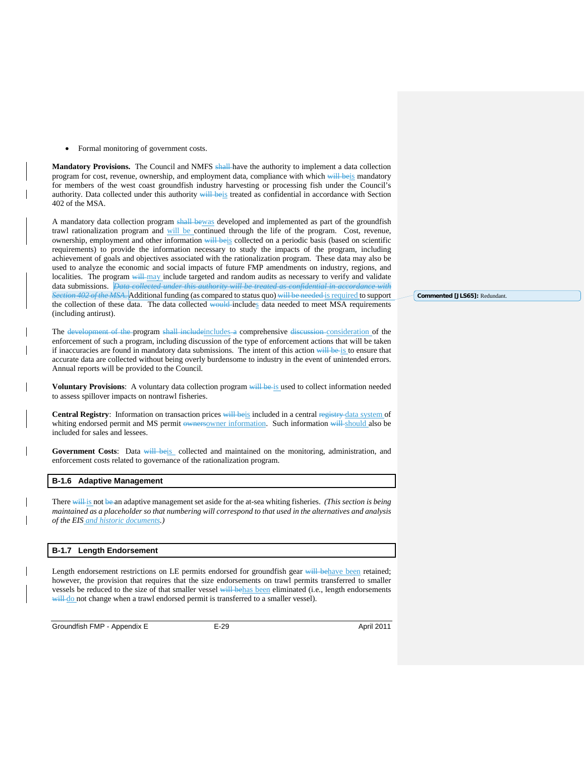• Formal monitoring of government costs.

**Mandatory Provisions.** The Council and NMFS shall-have the authority to implement a data collection program for cost, revenue, ownership, and employment data, compliance with which will beis mandatory for members of the west coast groundfish industry harvesting or processing fish under the Council's authority. Data collected under this authority will beis treated as confidential in accordance with Section 402 of the MSA.

A mandatory data collection program shall bewas developed and implemented as part of the groundfish trawl rationalization program and will be continued through the life of the program. Cost, revenue, ownership, employment and other information will beis collected on a periodic basis (based on scientific requirements) to provide the information necessary to study the impacts of the program, including achievement of goals and objectives associated with the rationalization program. These data may also be used to analyze the economic and social impacts of future FMP amendments on industry, regions, and localities. The program will may include targeted and random audits as necessary to verify and validate data submissions. *Data collected under this authority will be treated as confidential in accordance with Section 402 of the MSA*. Additional funding (as compared to status quo) will be needed is required to support the collection of these data. The data collected would-includes data needed to meet MSA requirements (including antirust).

The development of the program shall includeincludes a comprehensive discussion consideration of the enforcement of such a program, including discussion of the type of enforcement actions that will be taken if inaccuracies are found in mandatory data submissions. The intent of this action will be is to ensure that accurate data are collected without being overly burdensome to industry in the event of unintended errors. Annual reports will be provided to the Council.

**Voluntary Provisions:** A voluntary data collection program will be is used to collect information needed to assess spillover impacts on nontrawl fisheries.

Central Registry: Information on transaction prices will beis included in a central registry data system of whiting endorsed permit and MS permit ownersowner information. Such information will should also be included for sales and lessees.

Government Costs: Data will beis collected and maintained on the monitoring, administration, and enforcement costs related to governance of the rationalization program.

#### **B-1.6 Adaptive Management**

There will is not be an adaptive management set aside for the at-sea whiting fisheries. *(This section is being maintained as a placeholder so that numbering will correspond to that used in the alternatives and analysis of the EIS and historic documents.)*

#### **B-1.7 Length Endorsement**

Length endorsement restrictions on LE permits endorsed for groundfish gear will behave been retained; however, the provision that requires that the size endorsements on trawl permits transferred to smaller vessels be reduced to the size of that smaller vessel will behas been eliminated (i.e., length endorsements will do not change when a trawl endorsed permit is transferred to a smaller vessel).

Groundfish FMP - Appendix E E-29 E-29 April 2011

**Commented [JLS65]:** Redundant.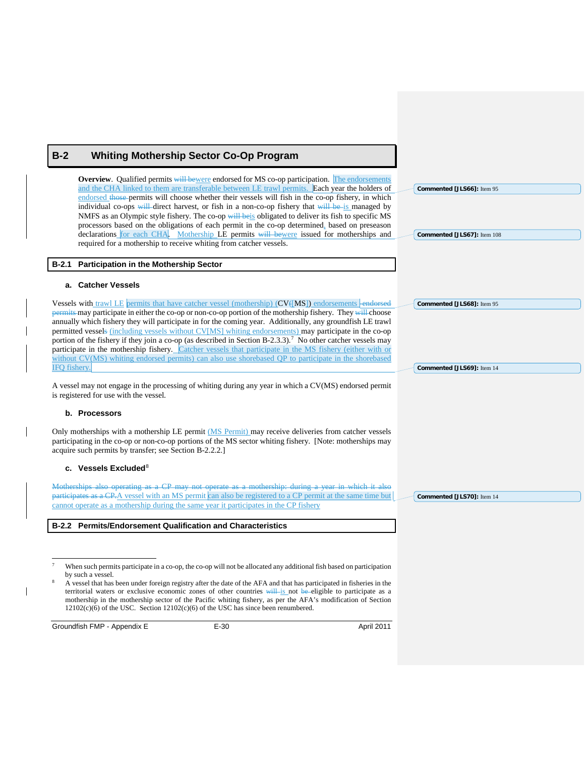# <span id="page-32-0"></span>**B-2 Whiting Mothership Sector Co-Op Program**

**Overview**. Qualified permits will bewere endorsed for MS co-op participation. The endorsements and the CHA linked to them are transferable between LE trawl permits. Each year the holders of endorsed those permits will choose whether their vessels will fish in the co-op fishery, in which individual co-ops will direct harvest, or fish in a non-co-op fishery that will be is managed by NMFS as an Olympic style fishery. The co-op will beis obligated to deliver its fish to specific MS processors based on the obligations of each permit in the co-op determined, based on preseason declarations for each CHA. Mothership LE permits will bewere issued for motherships and required for a mothership to receive whiting from catcher vessels.

# **B-2.1 Participation in the Mothership Sector**

# **a. Catcher Vessels**

Vessels with trawl LE permits that have catcher vessel (mothership) (CV([MS]) endorsements -endorsed permits may participate in either the co-op or non-co-op portion of the mothership fishery. They will choose annually which fishery they will participate in for the coming year. Additionally, any groundfish LE trawl permitted vessels (including vessels without CV[MS] whiting endorsements) may participate in the co-op portion of the fishery if they join a co-op (as described in Section B-2.3.3).<sup>[7](#page-32-1)</sup> No other catcher vessels may participate in the mothership fishery. Catcher vessels that participate in the MS fishery (either with or without CV(MS) whiting endorsed permits) can also use shorebased QP to participate in the shorebased IFQ fishery.

A vessel may not engage in the processing of whiting during any year in which a CV(MS) endorsed permit is registered for use with the vessel.

# **b. Processors**

Only motherships with a mothership LE permit (MS Permit) may receive deliveries from catcher vessels participating in the co-op or non-co-op portions of the MS sector whiting fishery. [Note: motherships may acquire such permits by transfer; see Section B-2.2.2.]

#### **c.** Vessels Excluded<sup>[8](#page-32-2)</sup>

Motherships also operating as a CP may not operate as a mothership: during a year in which it also participates as a CP.A vessel with an MS permit can also be registered to a CP permit at the same time but cannot operate as a mothership during the same year it participates in the CP fishery

#### **B-2.2 Permits/Endorsement Qualification and Characteristics**

<span id="page-32-2"></span><span id="page-32-1"></span>Groundfish FMP - Appendix E F-30 E-30 April 2011

**Commented [JLS68]:** Item 95

**Commented [JLS66]:** Item 95

**Commented [JLS67]:** Item 108

**Commented [JLS69]:** Item 14

**Commented [JLS70]:** Item 14

When such permits participate in a co-op, the co-op will not be allocated any additional fish based on participation by such a vessel.

<sup>8</sup> A vessel that has been under foreign registry after the date of the AFA and that has participated in fisheries in the territorial waters or exclusive economic zones of other countries will is not be eligible to participate as a mothership in the mothership sector of the Pacific whiting fishery, as per the AFA's modification of Section  $12102(c)(6)$  of the USC. Section  $12102(c)(6)$  of the USC has since been renumbered.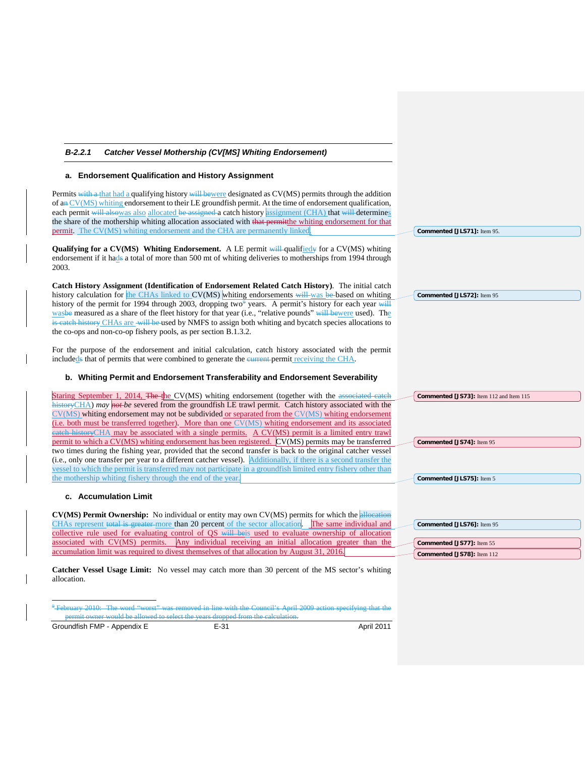| B-2.2.1<br><b>Catcher Vessel Mothership (CV[MS] Whiting Endorsement)</b>                                                                                                                                                                                                                                                                                                                                                                                                                                                                                                                                                          |                                         |
|-----------------------------------------------------------------------------------------------------------------------------------------------------------------------------------------------------------------------------------------------------------------------------------------------------------------------------------------------------------------------------------------------------------------------------------------------------------------------------------------------------------------------------------------------------------------------------------------------------------------------------------|-----------------------------------------|
| a. Endorsement Qualification and History Assignment                                                                                                                                                                                                                                                                                                                                                                                                                                                                                                                                                                               |                                         |
| Permits with a that had a qualifying history will be were designated as CV(MS) permits through the addition<br>of an $CV(MS)$ whiting endorsement to their LE groundfish permit. At the time of endorsement qualification,<br>each permit will alsowas also allocated be assigned a catch history assignment (CHA) that will determines<br>the share of the mothership whiting allocation associated with that permittene whiting endorsement for that<br><b>permit.</b> The CV(MS) whiting endorsement and the CHA are permanently linked                                                                                        | Commented [JLS71]: Item 95.             |
| Qualifying for a CV(MS) Whiting Endorsement. A LE permit will qualified for a CV(MS) whiting<br>endorsement if it hads a total of more than 500 mt of whiting deliveries to motherships from 1994 through<br>2003.                                                                                                                                                                                                                                                                                                                                                                                                                |                                         |
| Catch History Assignment (Identification of Endorsement Related Catch History). The initial catch<br>history calculation for the CHAs linked to CV(MS) whiting endorsements will was be based on whiting<br>history of the permit for 1994 through 2003, dropping two <sup>4</sup> years. A permit's history for each year will<br>was be measured as a share of the fleet history for that year (i.e., "relative pounds" will be were used). The<br>is eateh history CHAs are -will be-used by NMFS to assign both whiting and bycatch species allocations to<br>the co-ops and non-co-op fishery pools, as per section B.1.3.2. | Commented [JLS72]: Item 95              |
| For the purpose of the endorsement and initial calculation, catch history associated with the permit<br>included to that of permits that were combined to generate the eurrent-permit receiving the CHA.<br>b. Whiting Permit and Endorsement Transferability and Endorsement Severability                                                                                                                                                                                                                                                                                                                                        |                                         |
|                                                                                                                                                                                                                                                                                                                                                                                                                                                                                                                                                                                                                                   |                                         |
| Staring September 1, 2014, The the CV(MS) whiting endorsement (together with the associated catch<br>$h$ istory CHA) may not be severed from the groundfish LE trawl permit. Catch history associated with the<br>$CV(MS)$ whiting endorsement may not be subdivided or separated from the $CV(MS)$ whiting endorsement<br>(i.e. both must be transferred together). More than one CV(MS) whiting endorsement and its associated<br>eateh history CHA may be associated with a single permits. A CV(MS) permit is a limited entry trawl                                                                                           | Commented [JS73]: Item 112 and Item 115 |
| permit to which a CV(MS) whiting endorsement has been registered. CV(MS) permits may be transferred<br>two times during the fishing year, provided that the second transfer is back to the original catcher vessel<br>(i.e., only one transfer per year to a different catcher vessel). Additionally, if there is a second transfer the<br>vessel to which the permit is transferred may not participate in a groundfish limited entry fishery other than                                                                                                                                                                         | Commented [JS74]: Item 95               |
| the mothership whiting fishery through the end of the year.<br>c. Accumulation Limit                                                                                                                                                                                                                                                                                                                                                                                                                                                                                                                                              | Commented [JLS75]: Item 5               |
|                                                                                                                                                                                                                                                                                                                                                                                                                                                                                                                                                                                                                                   |                                         |
| CV(MS) Permit Ownership: No individual or entity may own CV(MS) permits for which the allocation<br>CHAs represent total is greater-more than 20 percent of the sector allocation. The same individual and<br>collective rule used for evaluating control of QS will be used to evaluate ownership of allocation                                                                                                                                                                                                                                                                                                                  | Commented [JLS76]: Item 95              |
| associated with CV(MS) permits.<br>Any individual receiving an initial allocation greater than the                                                                                                                                                                                                                                                                                                                                                                                                                                                                                                                                | Commented [JS77]: Item 55               |
| accumulation limit was required to divest themselves of that allocation by August 31, 2016.                                                                                                                                                                                                                                                                                                                                                                                                                                                                                                                                       | Commented [JS78]: Item 112              |
| <b>Catcher Vessel Usage Limit:</b> No vessel may catch more than 30 percent of the MS sector's whiting<br>allocation.                                                                                                                                                                                                                                                                                                                                                                                                                                                                                                             |                                         |
| <sup>9</sup> February 2010: The word "worst" was removed in line with the Council's April 2009 action specifying that the                                                                                                                                                                                                                                                                                                                                                                                                                                                                                                         |                                         |

<span id="page-33-0"></span>

| parmit owner would be allowed to select the vegre dropped from the calculation<br>befiliit owner would be allowed to select the vears dropped from the calculation. |            |
|---------------------------------------------------------------------------------------------------------------------------------------------------------------------|------------|
| Groundfish FMP - Appendix E                                                                                                                                         | April 2011 |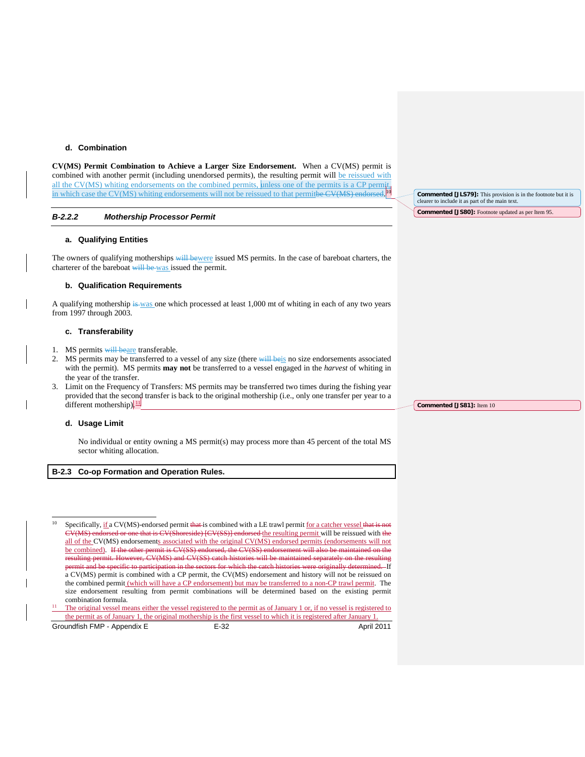# **d. Combination**

**CV(MS) Permit Combination to Achieve a Larger Size Endorsement.** When a CV(MS) permit is combined with another permit (including unendorsed permits), the resulting permit will be reissued with all the CV(MS) whiting endorsements on the combined permits, unless one of the permits is a CP permit, in which case the CV(MS) whiting endorsements will not be reissued to that permitbe CV(MS) endorsed.  $\frac{10}{10}$ 

#### *B-2.2.2 Mothership Processor Permit*

#### **a. Qualifying Entities**

The owners of qualifying motherships will bewere issued MS permits. In the case of bareboat charters, the charterer of the bareboat will be was issued the permit.

#### **b. Qualification Requirements**

A qualifying mothership is was one which processed at least 1,000 mt of whiting in each of any two years from 1997 through 2003.

#### **c. Transferability**

- 1. MS permits will beare transferable.
- 2. MS permits may be transferred to a vessel of any size (there will beis no size endorsements associated with the permit). MS permits **may not** be transferred to a vessel engaged in the *harvest* of whiting in the year of the transfer.
- 3. Limit on the Frequency of Transfers: MS permits may be transferred two times during the fishing year provided that the second transfer is back to the original mothership (i.e., only one transfer per year to a different mothership).

#### **d. Usage Limit**

No individual or entity owning a MS permit(s) may process more than 45 percent of the total MS sector whiting allocation.

# **B-2.3 Co-op Formation and Operation Rules.**

<sup>10</sup> Specifically, if a CV(MS)-endorsed permit that is combined with a LE trawl permit for a catcher vessel that is CV(MS) endorsed or one that is CV(Shoreside) [CV(SS)] endorsed the resulting permit will be reissued with the all of the CV(MS) endorsements associated with the original CV(MS) endorsed permits (endorsements will not be combined). If the other permit is CV(SS) endorsed, the CV(SS) endorsement will also be maintained on the However, CV(MS) and CV(SS) catch histories will be maintained separately on the resulting permit and be specific to participation in the sectors for which the catch histories were originally determined. If a CV(MS) permit is combined with a CP permit, the CV(MS) endorsement and history will not be reissued on the combined permit (which will have a CP endorsement) but may be transferred to a non-CP trawl permit. The size endorsement resulting from permit combinations will be determined based on the existing permit combination formula.

<span id="page-34-0"></span><sup>11</sup> The original vessel means either the vessel registered to the permit as of January 1 or, if no vessel is registered to the permit as of January 1, the original mothership is the first vessel to which it is registered after January 1.

<span id="page-34-1"></span>Groundfish FMP - Appendix E F-32 E-32 April 2011

**Commented [JLS79]:** This provision is in the footnote but it is clearer to include it as part of the main text. **Commented [JS80]:** Footnote updated as per Item 95.

**Commented [JS81]:** Item 10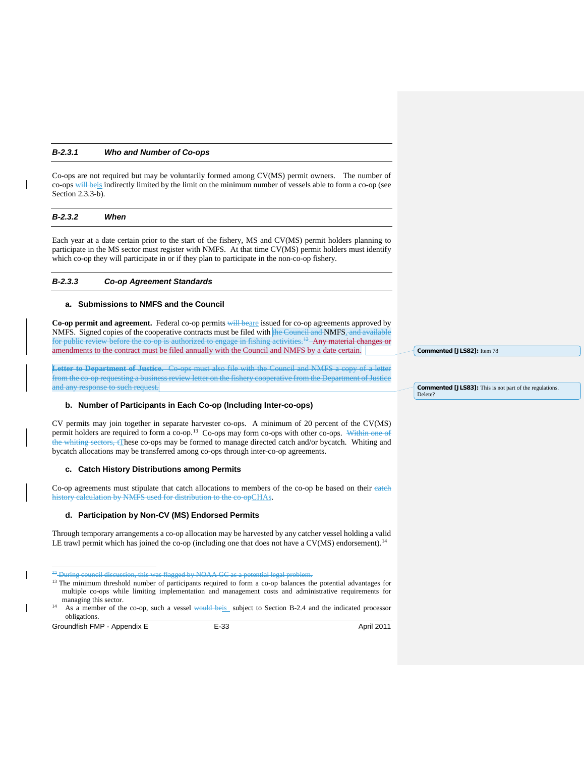#### *B-2.3.1 Who and Number of Co-ops*

Co-ops are not required but may be voluntarily formed among CV(MS) permit owners. The number of co-ops will beis indirectly limited by the limit on the minimum number of vessels able to form a co-op (see Section 2.3.3-b).

#### *B-2.3.2 When*

Each year at a date certain prior to the start of the fishery, MS and CV(MS) permit holders planning to participate in the MS sector must register with NMFS. At that time CV(MS) permit holders must identify which co-op they will participate in or if they plan to participate in the non-co-op fishery.

#### *B-2.3.3 Co-op Agreement Standards*

#### **a. Submissions to NMFS and the Council**

**Co-op permit and agreement.** Federal co-op permits will beare issued for co-op agreements approved by NMFS. Signed copies of the cooperative contracts must be filed with the Council and NMFS. and available for public review before the co-op is authorized to engage in fishing activities.<sup>12</sup> Any material changes or amendments to the contract must be filed annually with the Council and NMFS by a date certain.

**Letter to Department of Justice.** Co-ops must also file with the Council and NMFS a copy of a letter from the co-op requesting a business review letter on the fishery cooperative from the Department of Justice and any response to such request.

## **b. Number of Participants in Each Co-op (Including Inter-co-ops)**

CV permits may join together in separate harvester co-ops. A minimum of 20 percent of the CV(MS) permit holders are required to form a co-op.<sup>[13](#page-35-1)</sup> Co-ops may form co-ops with other co-ops. Within one of the whiting sectors, tThese co-ops may be formed to manage directed catch and/or bycatch. Whiting and bycatch allocations may be transferred among co-ops through inter-co-op agreements.

#### **c. Catch History Distributions among Permits**

Co-op agreements must stipulate that catch allocations to members of the co-op be based on their eateh history calculation by NMFS used for distribution to the co-opCHAs.

# **d. Participation by Non-CV (MS) Endorsed Permits**

Through temporary arrangements a co-op allocation may be harvested by any catcher vessel holding a valid LE trawl permit which has joined the co-op (including one that does not have a CV(MS) endorsement).<sup>[14](#page-35-2)</sup>

<span id="page-35-2"></span><span id="page-35-1"></span><span id="page-35-0"></span>Groundfish FMP - Appendix E E-33 E-33 April 2011

**Commented [JLS82]:** Item 78

#### **Commented [JLS83]:** This is not part of the regulations. Delete?

<sup>&</sup>lt;sup>42</sup> During council discussion, this was flagged by NOAA GC as a potential legal proble

<sup>&</sup>lt;sup>13</sup> The minimum threshold number of participants required to form a co-op balances the potential advantages for multiple co-ops while limiting implementation and management costs and administrative requirements for managing this sector.

<sup>&</sup>lt;sup>14</sup> As a member of the co-op, such a vessel would beis subject to Section B-2.4 and the indicated processor obligations.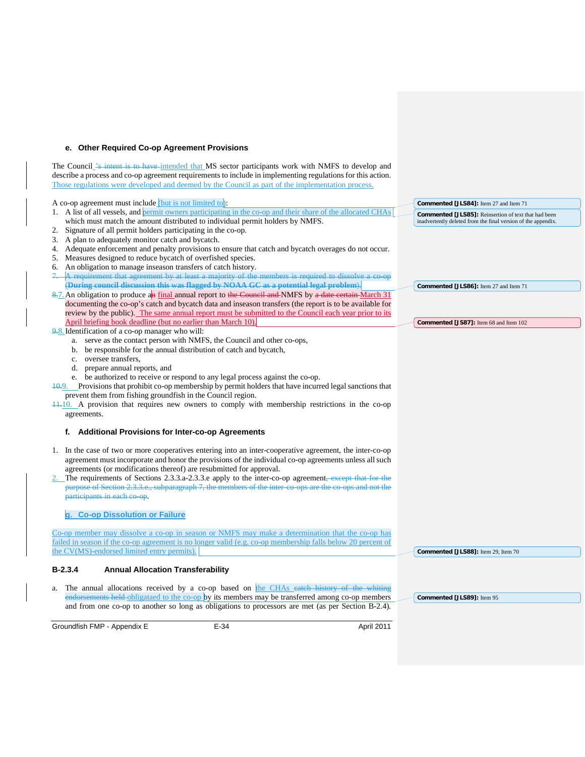#### **e. Other Required Co-op Agreement Provisions**

Groundfish FMP - Appendix E E-34 E-34 April 2011 The Council <sup>2</sup>s intent is to have intended that MS sector participants work with NMFS to develop and describe a process and co-op agreement requirements to include in implementing regulations for this action. Those regulations were developed and deemed by the Council as part of the implementation process. A co-op agreement must include (but is not limited to): 1. A list of all vessels, and permit owners participating in the co-op and their share of the allocated CHAs which must match the amount distributed to individual permit holders by NMFS. Signature of all permit holders participating in the co-op. 3. A plan to adequately monitor catch and bycatch. 4. Adequate enforcement and penalty provisions to ensure that catch and bycatch overages do not occur. 5. Measures designed to reduce bycatch of overfished species. 6. An obligation to manage inseason transfers of catch history. A requirement that agreement by at least a majority of the members is required to dissolve a co-op (**During council discussion this was flagged by NOAA GC as a potential legal problem**). 8.7. An obligation to produce an final annual report to the Council and NMFS by a date certain March 31 documenting the co-op's catch and bycatch data and inseason transfers (the report is to be available for review by the public). The same annual report must be submitted to the Council each year prior to its April briefing book deadline (but no earlier than March 10). 9.8. Identification of a co-op manager who will: a. serve as the contact person with NMFS, the Council and other co-ops, b. be responsible for the annual distribution of catch and bycatch, c. oversee transfers, d. prepare annual reports, and e. be authorized to receive or respond to any legal process against the co-op. 10.9. Provisions that prohibit co-op membership by permit holders that have incurred legal sanctions that prevent them from fishing groundfish in the Council region.  $\frac{11}{10}$ . A provision that requires new owners to comply with membership restrictions in the co-op agreements. **f. Additional Provisions for Inter-co-op Agreements**  1. In the case of two or more cooperatives entering into an inter-cooperative agreement, the inter-co-op agreement must incorporate and honor the provisions of the individual co-op agreements unless all such agreements (or modifications thereof) are resubmitted for approval. The requirements of Sections 2.3.3.a-2.3.3.e apply to the inter-co-op agreement, except that for the purpose of Section 2.3.3.e., subparagraph 7, the members of the inter-co-ops are the co-ops and not the participants in each co-op. **g. Co-op Dissolution or Failure** Co-op member may dissolve a co-op in season or NMFS may make a determination that the co-op has failed in season if the co-op agreement is no longer valid (e.g. co-op membership falls below 20 percent of the CV(MS)-endorsed limited entry permits). **B-2.3.4 Annual Allocation Transferability** a. The annual allocations received by a co-op based on the CHAs eateh history of the whiting ments held obligataed to the co-op by its members may be transferred among co-op members and from one co-op to another so long as obligations to processors are met (as per Section B-2.4). **Commented [JLS84]:** Item 27 and Item 71 **Commented [JLS85]:** Reinsertion of text that had been inadvertently deleted from the final version of the appendix. **Commented [JLS86]:** Item 27 and Item 71 **Commented [JS87]:** Item 68 and Item 102 **Commented [JLS88]:** Item 29, Item 70 **Commented [JLS89]:** Item 95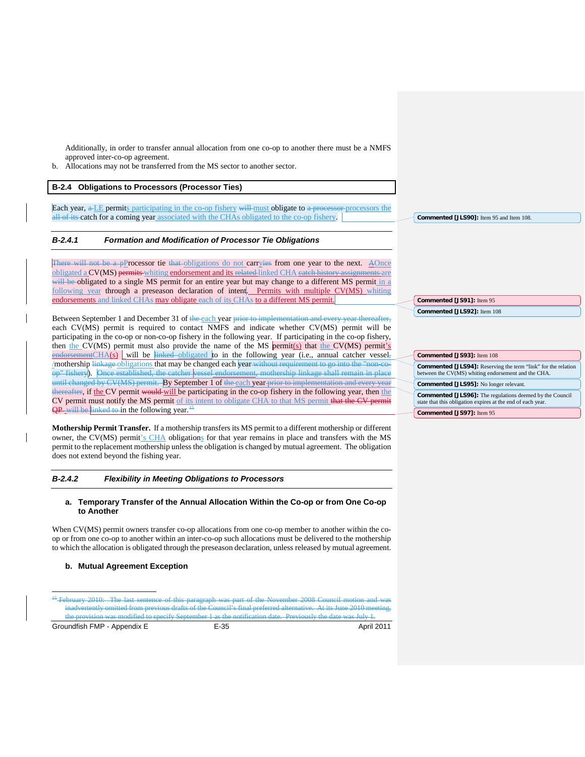Additionally, in order to transfer annual allocation from one co-op to another there must be a NMFS approved inter-co-op agreement.

b. Allocations may not be transferred from the MS sector to another sector.

# **B-2.4 Obligations to Processors (Processor Ties)**

Each year, a LE permits participating in the co-op fishery will must obligate to a processor processors the all of its catch for a coming year associated with the CHAs obligated to the co-op fishery.

# *B-2.4.1 Formation and Modification of Processor Tie Obligations*

There will not be a pProcessor tie that obligations do not carryies from one year to the next. A Once obligated a CV(MS) permits whiting endorsement and its related linked CHA eatch hist will be obligated to a single MS permit for an entire year but may change to a different MS permit in a following year through a preseason declaration of intent. Permits with multiple CV(MS) whiting endorsements and linked CHAs may obligate each of its CHAs to a different MS permit.

Between September 1 and December 31 of the each year prior to implementation and every year thereafter, each CV(MS) permit is required to contact NMFS and indicate whether CV(MS) permit will be participating in the co-op or non-co-op fishery in the following year. If participating in the co-op fishery, then the CV(MS) permit must also provide the name of the MS permit(s) that the CV(MS) permit's  $\frac{\text{endorsementCHA(s)}}{\text{well to the linked–obligated to in the following year (i.e., annual catcher vessel,}$ /mothership l<del>inkage obligations</del> that may be changed each year without requirement to go into the "nonop" fishery). Once established, the catcher vessel endorsement, mothership linkage shall remain in place until changed by CV(MS) permit. By September 1 of the each year prior to implementation and ever thereafter, if the CV permit would will be participating in the co-op fishery in the following year, then the CV permit must notify the MS permit of its intent to obligate CHA to that MS permit that the CV permit  $QP$  will be linked to in the following year.<sup>14</sup>

**Mothership Permit Transfer.** If a mothership transfers its MS permit to a different mothership or different owner, the CV(MS) permit's CHA obligations for that year remains in place and transfers with the MS permit to the replacement mothership unless the obligation is changed by mutual agreement. The obligation does not extend beyond the fishing year.

#### *B-2.4.2 Flexibility in Meeting Obligations to Processors*

#### **a. Temporary Transfer of the Annual Allocation Within the Co-op or from One Co-op to Another**

When CV(MS) permit owners transfer co-op allocations from one co-op member to another within the coop or from one co-op to another within an inter-co-op such allocations must be delivered to the mothership to which the allocation is obligated through the preseason declaration, unless released by mutual agreement.

# **b. Mutual Agreement Exception**

<span id="page-37-0"></span>Groundfish FMP - Appendix E F-35 E-35 April 2011

**Commented [JLS92]:** Item 108 **Commented [JS93]:** Item 108 **Commented [JLS94]:** Reserving the term "link" for the relation between the CV(MS) whiting endorsement and the CHA.

**Commented [JLS95]:** No longer relevant. **Commented [JLS96]:** The regulations deemed by the Council state that this obligation expires at the end of each year. **Commented [JS97]:** Item 95

**Commented [JLS90]:** Item 95 and Item 108.

**Commented [JS91]:** Item 95

<sup>&</sup>lt;sup>15</sup> February 2010: The last sentence of this paragraph was part of the November 2008 Council motion and was inadvertently omitted from previous drafts of the Council's final preferred alternative. At its June 2010 me the provision was modified to specify September 1 as the notification date. Previously the date was July 1.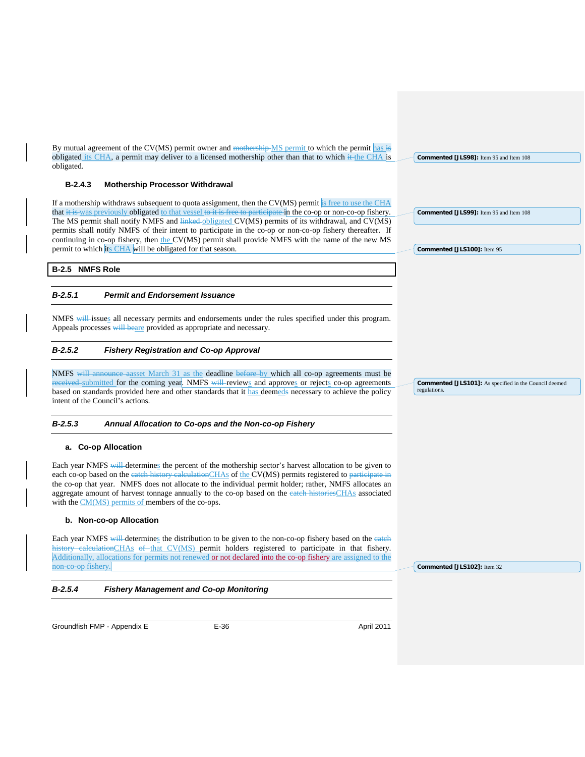By mutual agreement of the CV(MS) permit owner and mothership MS permit to which the permit has is obligated its CHA, a permit may deliver to a licensed mothership other than that to which it the CHA is obligated.

# **B-2.4.3 Mothership Processor Withdrawal**

If a mothership withdraws subsequent to quota assignment, then the CV(MS) permit is free to use the CHA that it is was previously obligated to that vessel to it is free to participate in the co-op or non-co-op fishery. The MS permit shall notify NMFS and linked obligated CV(MS) permits of its withdrawal, and CV(MS) permits shall notify NMFS of their intent to participate in the co-op or non-co-op fishery thereafter. If continuing in co-op fishery, then the CV(MS) permit shall provide NMFS with the name of the new MS permit to which its CHA will be obligated for that season.

#### **B-2.5 NMFS Role**

#### *B-2.5.1 Permit and Endorsement Issuance*

NMFS will issues all necessary permits and endorsements under the rules specified under this program. Appeals processes will beare provided as appropriate and necessary.

#### *B-2.5.2 Fishery Registration and Co-op Approval*

NMFS will announce aasset March 31 as the deadline before by which all co-op agreements must be received submitted for the coming year. NMFS will reviews and approves or rejects co-op agreements based on standards provided here and other standards that it has deemeds necessary to achieve the policy intent of the Council's actions.

#### *B-2.5.3 Annual Allocation to Co-ops and the Non-co-op Fishery*

#### **a. Co-op Allocation**

Each year NMFS will determines the percent of the mothership sector's harvest allocation to be given to each co-op based on the eate<del>h history calculation</del>CHAs of the CV(MS) permits registered to <del>participate in</del> the co-op that year. NMFS does not allocate to the individual permit holder; rather, NMFS allocates an aggregate amount of harvest tonnage annually to the co-op based on the eateh historiesCHAs associated with the CM(MS) permits of members of the co-ops.

#### **b. Non-co-op Allocation**

Each year NMFS will determines the distribution to be given to the non-co-op fishery based on the eateh history calculationCHAs of that CV(MS) permit holders registered to participate in that fishery. Additionally, allocations for permits not renewed or not declared into the co-op fishery are assigned to the non-co-op fishery.

**Commented [JLS102]:** Item 32

#### *B-2.5.4 Fishery Management and Co-op Monitoring*

Groundfish FMP - Appendix E CHA CHA CHA E-36 April 2011

**Commented [JLS98]:** Item 95 and Item 108

**Commented [JLS99]:** Item 95 and Item 108

**Commented [JLS100]:** Item 95

**Commented [JLS101]:** As specified in the Council deemed regulations.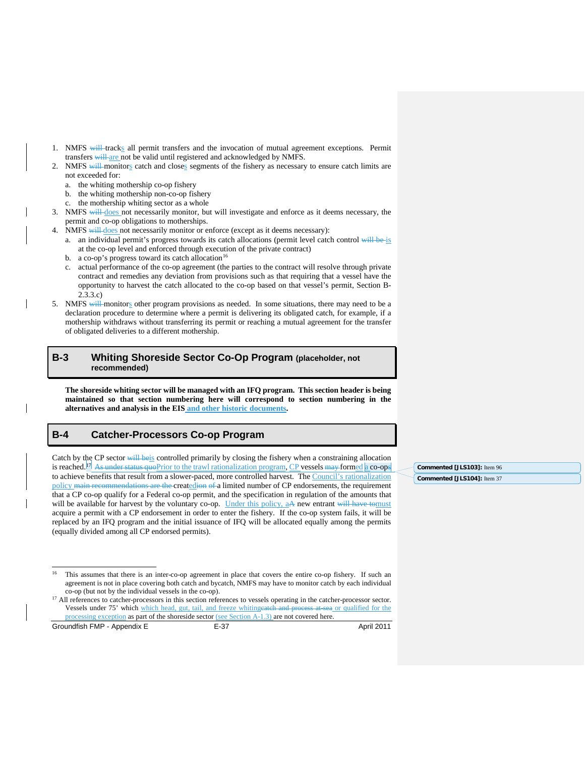- 1. NMFS will tracks all permit transfers and the invocation of mutual agreement exceptions. Permit transfers will are not be valid until registered and acknowledged by NMFS.
- NMFS will monitors catch and closes segments of the fishery as necessary to ensure catch limits are not exceeded for:
	- a. the whiting mothership co-op fishery
	- b. the whiting mothership non-co-op fishery
	- c. the mothership whiting sector as a whole
- 3. NMFS will does not necessarily monitor, but will investigate and enforce as it deems necessary, the permit and co-op obligations to motherships.
- 4. NMFS will does not necessarily monitor or enforce (except as it deems necessary):
	- a. an individual permit's progress towards its catch allocations (permit level catch control will be is at the co-op level and enforced through execution of the private contract)
	- b. a co-op's progress toward its catch allocation<sup>[16](#page-39-2)</sup>
	- c. actual performance of the co-op agreement (the parties to the contract will resolve through private contract and remedies any deviation from provisions such as that requiring that a vessel have the opportunity to harvest the catch allocated to the co-op based on that vessel's permit, Section B-2.3.3.c)
- 5. NMFS will monitors other program provisions as needed. In some situations, there may need to be a declaration procedure to determine where a permit is delivering its obligated catch, for example, if a mothership withdraws without transferring its permit or reaching a mutual agreement for the transfer of obligated deliveries to a different mothership.

# <span id="page-39-0"></span>**B-3 Whiting Shoreside Sector Co-Op Program (placeholder, not recommended)**

**The shoreside whiting sector will be managed with an IFQ program. This section header is being maintained so that section numbering here will correspond to section numbering in the alternatives and analysis in the EIS and other historic documents.**

# <span id="page-39-1"></span>**B-4 Catcher-Processors Co-op Program**

Catch by the CP sector will beis controlled primarily by closing the fishery when a constraining allocation is reached.<sup>17</sup> As under status quoPrior to the trawl rationalization program, CP vessels may formed a co-ops to achieve benefits that result from a slower-paced, more controlled harvest. The Council's rationalization policy main recommendations are the createdion of a limited number of CP endorsements, the requirement that a CP co-op qualify for a Federal co-op permit, and the specification in regulation of the amounts that will be available for harvest by the voluntary co-op. Under this policy, aA new entrant will have tomust acquire a permit with a CP endorsement in order to enter the fishery. If the co-op system fails, it will be replaced by an IFQ program and the initial issuance of IFQ will be allocated equally among the permits (equally divided among all CP endorsed permits).

<span id="page-39-3"></span><span id="page-39-2"></span>Groundfish FMP - Appendix E E-37 E-37 April 2011

**Commented [JLS103]:** Item 96 **Commented [JLS104]:** Item 37

<sup>&</sup>lt;sup>16</sup> This assumes that there is an inter-co-op agreement in place that covers the entire co-op fishery. If such an agreement is not in place covering both catch and bycatch, NMFS may have to monitor catch by each individual co-op (but not by the individual vessels in the co-op).

<sup>&</sup>lt;sup>17</sup> All references to catcher-processors in this section references to vessels operating in the catcher-processor sector. Vessels under 75' which which head, gut, tail, and freeze whitingcatch and process at sea or qualified for the processing exception as part of the shoreside sector (see Section A-1.3) are not covered here.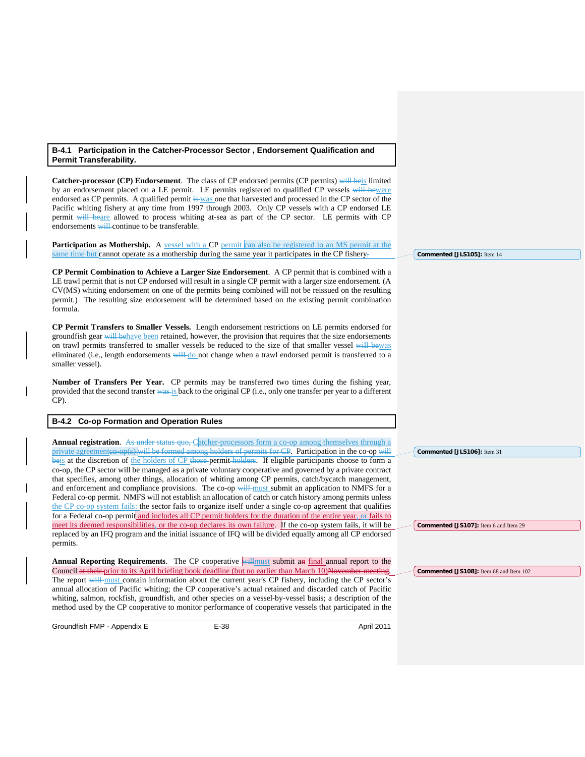#### **B-4.1 Participation in the Catcher-Processor Sector , Endorsement Qualification and Permit Transferability.**

**Catcher-processor (CP) Endorsement**. The class of CP endorsed permits (CP permits) will beis limited by an endorsement placed on a LE permit. LE permits registered to qualified CP vessels will bewere endorsed as CP permits. A qualified permit is was one that harvested and processed in the CP sector of the Pacific whiting fishery at any time from 1997 through 2003. Only CP vessels with a CP endorsed LE permit will beare allowed to process whiting at-sea as part of the CP sector. LE permits with CP endorsements will continue to be transferable.

**Participation as Mothership.** A vessel with a CP permit can also be registered to an MS permit at the same time but cannot operate as a mothership during the same year it participates in the CP fishery-

**CP Permit Combination to Achieve a Larger Size Endorsement**. A CP permit that is combined with a LE trawl permit that is not CP endorsed will result in a single CP permit with a larger size endorsement. (A CV(MS) whiting endorsement on one of the permits being combined will not be reissued on the resulting permit.) The resulting size endorsement will be determined based on the existing permit combination formula.

**CP Permit Transfers to Smaller Vessels.** Length endorsement restrictions on LE permits endorsed for groundfish gear will behave been retained, however, the provision that requires that the size endorsements on trawl permits transferred to smaller vessels be reduced to the size of that smaller vessel will bewas eliminated (i.e., length endorsements will do not change when a trawl endorsed permit is transferred to a smaller vessel).

**Number of Transfers Per Year.** CP permits may be transferred two times during the fishing year, provided that the second transfer was is back to the original CP (i.e., only one transfer per year to a different CP).

#### **B-4.2 Co-op Formation and Operation Rules**

**Annual registration.** As under status quo, Catcher-processors form a co-op among themselves through a private agreementeo-op(s) will be formed among holders of permits for CP. Participation in the co-op will beis at the discretion of the holders of CP those permit holders. If eligible participants choose to form a co-op, the CP sector will be managed as a private voluntary cooperative and governed by a private contract that specifies, among other things, allocation of whiting among CP permits, catch/bycatch management, and enforcement and compliance provisions. The co-op will must submit an application to NMFS for a Federal co-op permit. NMFS will not establish an allocation of catch or catch history among permits unless the CP co-op system fails: the sector fails to organize itself under a single co-op agreement that qualifies for a Federal co-op permit and includes all CP permit holders for the duration of the entire year, or fails to meet its deemed responsibilities, or the co-op declares its own failure. If the co-op system fails, it will be replaced by an IFQ program and the initial issuance of IFQ will be divided equally among all CP endorsed permits.

**Annual Reporting Requirements**. The CP cooperative willmust submit an final annual report to the Council at their prior to its April briefing book deadline (but no earlier than March 10)November meeting. The report will must contain information about the current year's CP fishery, including the CP sector's annual allocation of Pacific whiting; the CP cooperative's actual retained and discarded catch of Pacific whiting, salmon, rockfish, groundfish, and other species on a vessel-by-vessel basis; a description of the method used by the CP cooperative to monitor performance of cooperative vessels that participated in the

Groundfish FMP - Appendix E CHA CHA E-38 April 2011

**Commented [JLS105]:** Item 14

**Commented [JLS106]:** Item 31

**Commented [JS107]:** Item 6 and Item 29

**Commented [JS108]:** Item 68 and Item 102